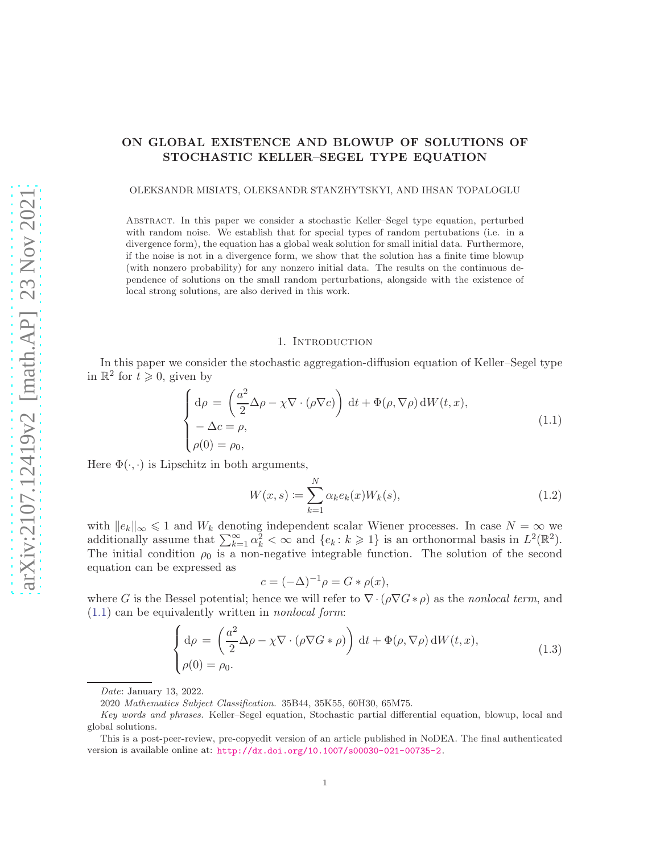# ON GLOBAL EXISTENCE AND BLOWUP OF SOLUTIONS OF STOCHASTIC KELLER–SEGEL TYPE EQUATION

#### OLEKSANDR MISIATS, OLEKSANDR STANZHYTSKYI, AND IHSAN TOPALOGLU

Abstract. In this paper we consider a stochastic Keller–Segel type equation, perturbed with random noise. We establish that for special types of random pertubations (i.e. in a divergence form), the equation has a global weak solution for small initial data. Furthermore, if the noise is not in a divergence form, we show that the solution has a finite time blowup (with nonzero probability) for any nonzero initial data. The results on the continuous dependence of solutions on the small random perturbations, alongside with the existence of local strong solutions, are also derived in this work.

#### 1. Introduction

In this paper we consider the stochastic aggregation-diffusion equation of Keller–Segel type in  $\mathbb{R}^2$  for  $t \geqslant 0$ , given by

<span id="page-0-0"></span>
$$
\begin{cases}\n\mathrm{d}\rho = \left(\frac{a^2}{2}\Delta\rho - \chi \nabla \cdot (\rho \nabla c)\right) \mathrm{d}t + \Phi(\rho, \nabla \rho) \mathrm{d}W(t, x), \\
-\Delta c = \rho, \\
\rho(0) = \rho_0,\n\end{cases}
$$
\n(1.1)

Here  $\Phi(\cdot, \cdot)$  is Lipschitz in both arguments,

<span id="page-0-1"></span>
$$
W(x,s) := \sum_{k=1}^{N} \alpha_k e_k(x) W_k(s),
$$
\n(1.2)

with  $||e_k||_{\infty} \le 1$  and  $W_k$  denoting independent scalar Wiener processes. In case  $N = \infty$  we additionally assume that  $\sum_{k=1}^{\infty} \alpha_k^2 < \infty$  and  $\{e_k : k \geq 1\}$  is an orthonormal basis in  $L^2(\mathbb{R}^2)$ . The initial condition  $\rho_0$  is a non-negative integrable function. The solution of the second equation can be expressed as

$$
c = (-\Delta)^{-1} \rho = G * \rho(x),
$$

where G is the Bessel potential; hence we will refer to  $\nabla \cdot (\rho \nabla G * \rho)$  as the *nonlocal term*, and  $(1.1)$  can be equivalently written in *nonlocal form*:

<span id="page-0-2"></span>
$$
\begin{cases} d\rho = \left(\frac{a^2}{2}\Delta\rho - \chi \nabla \cdot (\rho \nabla G * \rho)\right) dt + \Phi(\rho, \nabla \rho) dW(t, x), \\ \rho(0) = \rho_0. \end{cases}
$$
(1.3)

Date: January 13, 2022.

<sup>2020</sup> Mathematics Subject Classification. 35B44, 35K55, 60H30, 65M75.

Key words and phrases. Keller–Segel equation, Stochastic partial differential equation, blowup, local and global solutions.

This is a post-peer-review, pre-copyedit version of an article published in NoDEA. The final authenticated version is available online at: <http://dx.doi.org/10.1007/s00030-021-00735-2>.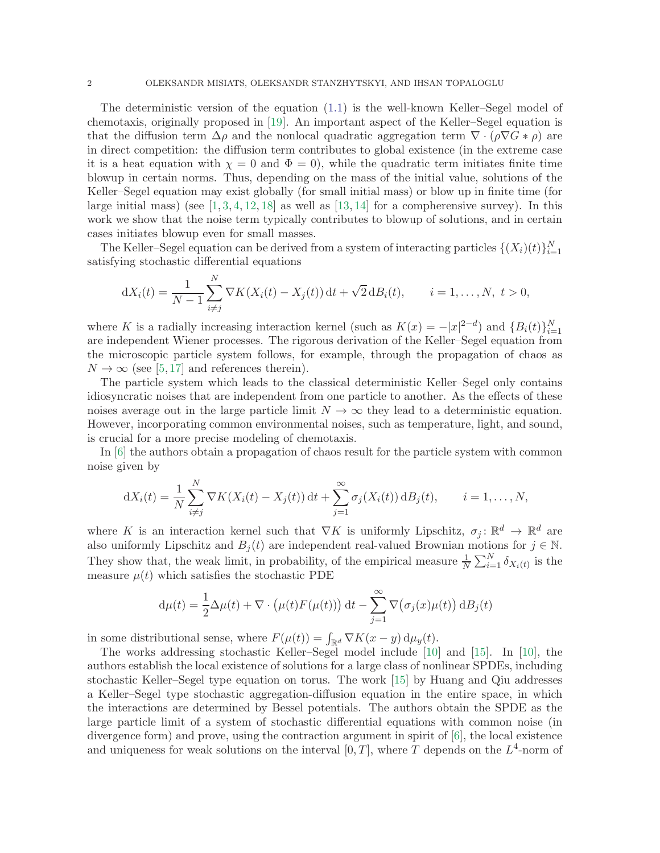The deterministic version of the equation [\(1.1\)](#page-0-0) is the well-known Keller–Segel model of chemotaxis, originally proposed in [\[19\]](#page-24-0). An important aspect of the Keller–Segel equation is that the diffusion term  $\Delta \rho$  and the nonlocal quadratic aggregation term  $\nabla \cdot (\rho \nabla G * \rho)$  are in direct competition: the diffusion term contributes to global existence (in the extreme case it is a heat equation with  $\chi = 0$  and  $\Phi = 0$ , while the quadratic term initiates finite time blowup in certain norms. Thus, depending on the mass of the initial value, solutions of the Keller–Segel equation may exist globally (for small initial mass) or blow up in finite time (for large initial mass) (see  $[1, 3, 4, 12, 18]$  $[1, 3, 4, 12, 18]$  $[1, 3, 4, 12, 18]$  $[1, 3, 4, 12, 18]$  $[1, 3, 4, 12, 18]$  $[1, 3, 4, 12, 18]$  $[1, 3, 4, 12, 18]$  $[1, 3, 4, 12, 18]$  as well as  $[13, 14]$  $[13, 14]$  for a compherensive survey). In this work we show that the noise term typically contributes to blowup of solutions, and in certain cases initiates blowup even for small masses.

The Keller–Segel equation can be derived from a system of interacting particles  $\{(X_i)(t)\}_{i=1}^N$ satisfying stochastic differential equations

$$
dX_i(t) = \frac{1}{N-1} \sum_{i \neq j}^{N} \nabla K(X_i(t) - X_j(t)) dt + \sqrt{2} dB_i(t), \qquad i = 1, ..., N, \ t > 0,
$$

where K is a radially increasing interaction kernel (such as  $K(x) = -|x|^{2-d}$ ) and  $\{B_i(t)\}_{i=1}^N$ are independent Wiener processes. The rigorous derivation of the Keller–Segel equation from the microscopic particle system follows, for example, through the propagation of chaos as  $N \to \infty$  (see [\[5,](#page-24-8)[17\]](#page-24-9) and references therein).

The particle system which leads to the classical deterministic Keller–Segel only contains idiosyncratic noises that are independent from one particle to another. As the effects of these noises average out in the large particle limit  $N \to \infty$  they lead to a deterministic equation. However, incorporating common environmental noises, such as temperature, light, and sound, is crucial for a more precise modeling of chemotaxis.

In [\[6\]](#page-24-10) the authors obtain a propagation of chaos result for the particle system with common noise given by

$$
dX_i(t) = \frac{1}{N} \sum_{i \neq j}^N \nabla K(X_i(t) - X_j(t)) dt + \sum_{j=1}^\infty \sigma_j(X_i(t)) dB_j(t), \qquad i = 1, \dots, N,
$$

where K is an interaction kernel such that  $\nabla K$  is uniformly Lipschitz,  $\sigma_j: \mathbb{R}^d \to \mathbb{R}^d$  are also uniformly Lipschitz and  $B_i(t)$  are independent real-valued Brownian motions for  $j \in \mathbb{N}$ . They show that, the weak limit, in probability, of the empirical measure  $\frac{1}{N} \sum_{i=1}^{N} \delta_{X_i(t)}$  is the measure  $\mu(t)$  which satisfies the stochastic PDE

$$
d\mu(t) = \frac{1}{2}\Delta\mu(t) + \nabla \cdot \left(\mu(t)F(\mu(t))\right)dt - \sum_{j=1}^{\infty} \nabla \left(\sigma_j(x)\mu(t)\right)dB_j(t)
$$

in some distributional sense, where  $F(\mu(t)) = \int_{\mathbb{R}^d} \nabla K(x - y) d\mu_y(t)$ .

The works addressing stochastic Keller–Segel model include [\[10\]](#page-24-11) and [\[15\]](#page-24-12). In [\[10\]](#page-24-11), the authors establish the local existence of solutions for a large class of nonlinear SPDEs, including stochastic Keller–Segel type equation on torus. The work [\[15\]](#page-24-12) by Huang and Qiu addresses a Keller–Segel type stochastic aggregation-diffusion equation in the entire space, in which the interactions are determined by Bessel potentials. The authors obtain the SPDE as the large particle limit of a system of stochastic differential equations with common noise (in divergence form) and prove, using the contraction argument in spirit of [\[6\]](#page-24-10), the local existence and uniqueness for weak solutions on the interval  $[0, T]$ , where T depends on the  $L^4$ -norm of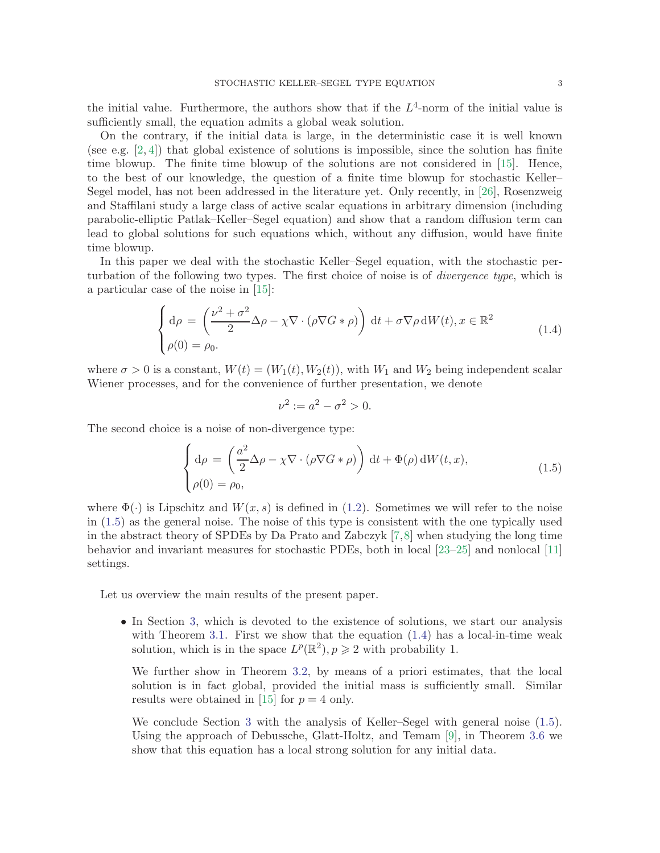the initial value. Furthermore, the authors show that if the  $L^4$ -norm of the initial value is sufficiently small, the equation admits a global weak solution.

On the contrary, if the initial data is large, in the deterministic case it is well known (see e.g.  $[2, 4]$  $[2, 4]$ ) that global existence of solutions is impossible, since the solution has finite time blowup. The finite time blowup of the solutions are not considered in [\[15\]](#page-24-12). Hence, to the best of our knowledge, the question of a finite time blowup for stochastic Keller– Segel model, has not been addressed in the literature yet. Only recently, in [\[26\]](#page-25-0), Rosenzweig and Staffilani study a large class of active scalar equations in arbitrary dimension (including parabolic-elliptic Patlak–Keller–Segel equation) and show that a random diffusion term can lead to global solutions for such equations which, without any diffusion, would have finite time blowup.

In this paper we deal with the stochastic Keller–Segel equation, with the stochastic perturbation of the following two types. The first choice of noise is of *divergence type*, which is a particular case of the noise in [\[15\]](#page-24-12):

<span id="page-2-1"></span>
$$
\begin{cases} d\rho = \left(\frac{\nu^2 + \sigma^2}{2} \Delta \rho - \chi \nabla \cdot (\rho \nabla G * \rho)\right) dt + \sigma \nabla \rho dW(t), x \in \mathbb{R}^2 \\ \rho(0) = \rho_0. \end{cases}
$$
(1.4)

where  $\sigma > 0$  is a constant,  $W(t) = (W_1(t), W_2(t))$ , with  $W_1$  and  $W_2$  being independent scalar Wiener processes, and for the convenience of further presentation, we denote

$$
\nu^2 := a^2 - \sigma^2 > 0.
$$

The second choice is a noise of non-divergence type:

<span id="page-2-0"></span>
$$
\begin{cases}\n\mathrm{d}\rho = \left(\frac{a^2}{2}\Delta\rho - \chi \nabla \cdot (\rho \nabla G * \rho)\right) \mathrm{d}t + \Phi(\rho) \mathrm{d}W(t, x), \\
\rho(0) = \rho_0,\n\end{cases}
$$
\n(1.5)

where  $\Phi(\cdot)$  is Lipschitz and  $W(x, s)$  is defined in [\(1.2\)](#page-0-1). Sometimes we will refer to the noise in [\(1.5\)](#page-2-0) as the general noise. The noise of this type is consistent with the one typically used in the abstract theory of SPDEs by Da Prato and Zabczyk [\[7,](#page-24-14)[8\]](#page-24-15) when studying the long time behavior and invariant measures for stochastic PDEs, both in local [\[23](#page-25-1)[–25\]](#page-25-2) and nonlocal [\[11\]](#page-24-16) settings.

Let us overview the main results of the present paper.

• In Section [3,](#page-5-0) which is devoted to the existence of solutions, we start our analysis with Theorem [3.1.](#page-5-1) First we show that the equation  $(1.4)$  has a local-in-time weak solution, which is in the space  $L^p(\mathbb{R}^2)$ ,  $p \geq 2$  with probability 1.

We further show in Theorem [3.2,](#page-9-0) by means of a priori estimates, that the local solution is in fact global, provided the initial mass is sufficiently small. Similar results were obtained in [\[15\]](#page-24-12) for  $p = 4$  only.

We conclude Section [3](#page-5-0) with the analysis of Keller–Segel with general noise [\(1.5\)](#page-2-0). Using the approach of Debussche, Glatt-Holtz, and Temam [\[9\]](#page-24-17), in Theorem [3.6](#page-12-0) we show that this equation has a local strong solution for any initial data.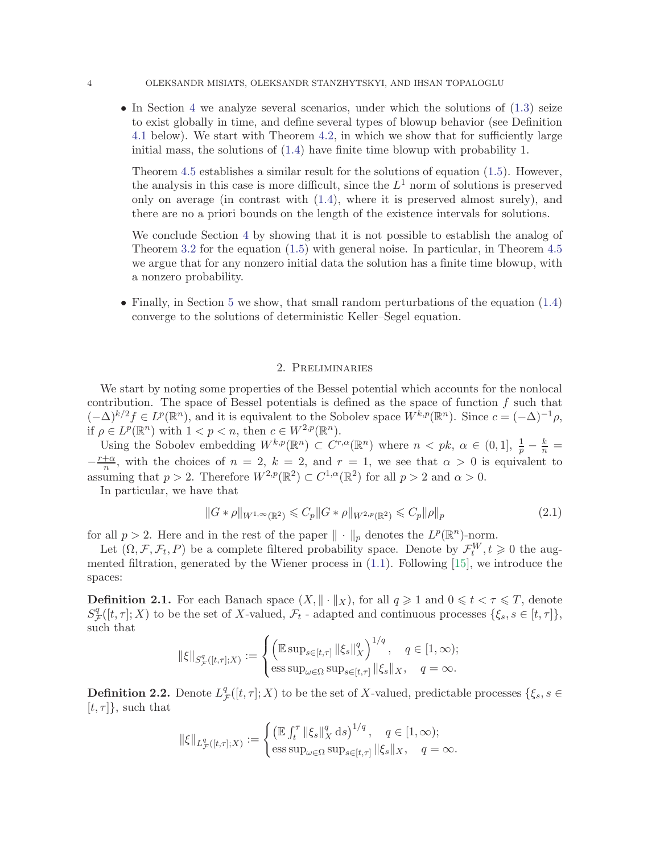• In Section [4](#page-13-0) we analyze several scenarios, under which the solutions of  $(1.3)$  seize to exist globally in time, and define several types of blowup behavior (see Definition [4.1](#page-13-1) below). We start with Theorem [4.2,](#page-13-2) in which we show that for sufficiently large initial mass, the solutions of [\(1.4\)](#page-2-1) have finite time blowup with probability 1.

Theorem [4.5](#page-15-0) establishes a similar result for the solutions of equation [\(1.5\)](#page-2-0). However, the analysis in this case is more difficult, since the  $L^1$  norm of solutions is preserved only on average (in contrast with [\(1.4\)](#page-2-1), where it is preserved almost surely), and there are no a priori bounds on the length of the existence intervals for solutions.

We conclude Section [4](#page-13-0) by showing that it is not possible to establish the analog of Theorem [3.2](#page-9-0) for the equation [\(1.5\)](#page-2-0) with general noise. In particular, in Theorem [4.5](#page-15-0) we argue that for any nonzero initial data the solution has a finite time blowup, with a nonzero probability.

• Finally, in Section [5](#page-21-0) we show, that small random perturbations of the equation [\(1.4\)](#page-2-1) converge to the solutions of deterministic Keller–Segel equation.

## 2. Preliminaries

We start by noting some properties of the Bessel potential which accounts for the nonlocal contribution. The space of Bessel potentials is defined as the space of function  $f$  such that  $(-\Delta)^{k/2} f \in L^p(\mathbb{R}^n)$ , and it is equivalent to the Sobolev space  $W^{k,p}(\mathbb{R}^n)$ . Since  $c = (-\Delta)^{-1} \rho$ , if  $\rho \in L^p(\mathbb{R}^n)$  with  $1 < p < n$ , then  $c \in W^{2,p}(\mathbb{R}^n)$ .

Using the Sobolev embedding  $W^{k,p}(\mathbb{R}^n) \subset C^{r,\alpha}(\mathbb{R}^n)$  where  $n \leq pk$ ,  $\alpha \in (0,1]$ ,  $\frac{1}{p} - \frac{k}{n} =$  $-\frac{r+\alpha}{n}$ , with the choices of  $n = 2$ ,  $k = 2$ , and  $r = 1$ , we see that  $\alpha > 0$  is equivalent to assuming that  $p > 2$ . Therefore  $W^{2,p}(\mathbb{R}^2) \subset C^{1,\alpha}(\mathbb{R}^2)$  for all  $p > 2$  and  $\alpha > 0$ .

In particular, we have that

<span id="page-3-0"></span>
$$
||G * \rho||_{W^{1,\infty}(\mathbb{R}^2)} \leq C_p ||G * \rho||_{W^{2,p}(\mathbb{R}^2)} \leq C_p ||\rho||_p
$$
\n(2.1)

for all  $p > 2$ . Here and in the rest of the paper  $\|\cdot\|_p$  denotes the  $L^p(\mathbb{R}^n)$ -norm.

Let  $(\Omega, \mathcal{F}, \mathcal{F}_t, P)$  be a complete filtered probability space. Denote by  $\mathcal{F}_t^W, t \geq 0$  the augmented filtration, generated by the Wiener process in [\(1.1\)](#page-0-0). Following [\[15\]](#page-24-12), we introduce the spaces:

**Definition 2.1.** For each Banach space  $(X, \|\cdot\|_X)$ , for all  $q \geq 1$  and  $0 \leq t < \tau \leq T$ , denote  $S^q_{\mathcal{I}}$  ${}_{\mathcal{F}}^{q}([t,\tau];X)$  to be the set of X-valued,  $\mathcal{F}_{t}$  - adapted and continuous processes  $\{\xi_{s},s\in[t,\tau]\},$ such that

$$
\|\xi\|_{S^q_{\mathcal{F}}([t,\tau];X)}:=\begin{cases}\left(\mathbb{E}\sup_{s\in[t,\tau]}\|\xi_s\|_X^q\right)^{1/q},\quad q\in[1,\infty);\cr \mathop{\mathrm{ess\,sup}}_{\omega\in\Omega}\sup_{s\in[t,\tau]}\|\xi_s\|_X,\quad q=\infty.\end{cases}
$$

**Definition 2.2.** Denote  $L_7^q$  $\mathcal{F}^q$  ([t,  $\tau$ ]; X) to be the set of X-valued, predictable processes  $\{\xi_s, s \in \mathcal{F}^q\}$  $[t, \tau]$ , such that

$$
\|\xi\|_{L^q_{\mathcal{F}}([t,\tau];X)} := \begin{cases} \left(\mathbb{E} \int_t^{\tau} \|\xi_s\|_X^q \, \mathrm{d}s\right)^{1/q}, & q \in [1,\infty); \\ \operatorname{ess} \sup_{\omega \in \Omega} \sup_{s \in [t,\tau]} \|\xi_s\|_X, & q = \infty. \end{cases}
$$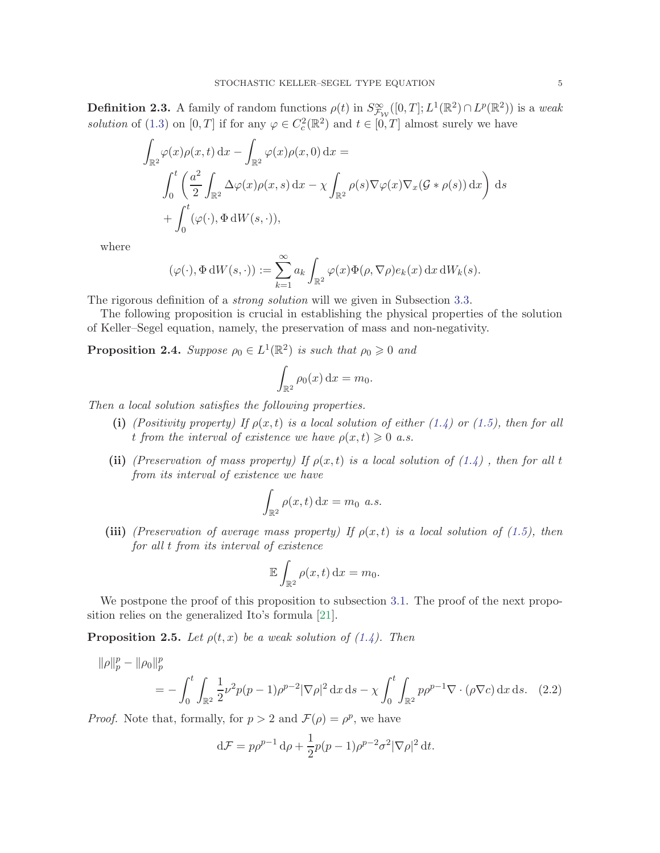<span id="page-4-3"></span>**Definition 2.3.** A family of random functions  $\rho(t)$  in  $S^{\infty}_{\mathcal{F}_\mathcal{W}}([0,T];L^1(\mathbb{R}^2) \cap L^p(\mathbb{R}^2))$  is a weak solution of [\(1.3\)](#page-0-2) on [0, T] if for any  $\varphi \in C_c^2(\mathbb{R}^2)$  and  $t \in [0, T]$  almost surely we have

$$
\int_{\mathbb{R}^2} \varphi(x)\rho(x,t) dx - \int_{\mathbb{R}^2} \varphi(x)\rho(x,0) dx =
$$
\n
$$
\int_0^t \left(\frac{a^2}{2} \int_{\mathbb{R}^2} \Delta \varphi(x)\rho(x,s) dx - \chi \int_{\mathbb{R}^2} \rho(s)\nabla \varphi(x)\nabla_x(\mathcal{G} * \rho(s)) dx\right) ds
$$
\n
$$
+ \int_0^t (\varphi(\cdot), \Phi dW(s, \cdot)),
$$

where

$$
(\varphi(\cdot), \Phi \, dW(s, \cdot)) := \sum_{k=1}^{\infty} a_k \int_{\mathbb{R}^2} \varphi(x) \Phi(\rho, \nabla \rho) e_k(x) \, dx \, dW_k(s).
$$

The rigorous definition of a *strong solution* will we given in Subsection [3.3.](#page-11-0)

The following proposition is crucial in establishing the physical properties of the solution of Keller–Segel equation, namely, the preservation of mass and non-negativity.

<span id="page-4-2"></span>**Proposition 2.4.** Suppose  $\rho_0 \in L^1(\mathbb{R}^2)$  is such that  $\rho_0 \geq 0$  and

$$
\int_{\mathbb{R}^2} \rho_0(x) \, \mathrm{d}x = m_0.
$$

Then a local solution satisfies the following properties.

- (i) (Positivity property) If  $\rho(x,t)$  is a local solution of either [\(1.4\)](#page-2-1) or [\(1.5\)](#page-2-0), then for all t from the interval of existence we have  $\rho(x,t) \geq 0$  a.s.
- (ii) (Preservation of mass property) If  $\rho(x,t)$  is a local solution of  $(1.4)$ , then for all t from its interval of existence we have

$$
\int_{\mathbb{R}^2} \rho(x, t) \, \mathrm{d}x = m_0 \, a.s.
$$

(iii) (Preservation of average mass property) If  $\rho(x,t)$  is a local solution of [\(1.5\)](#page-2-0), then for all t from its interval of existence

<span id="page-4-0"></span>
$$
\mathbb{E}\int_{\mathbb{R}^2}\rho(x,t)\,\mathrm{d}x = m_0.
$$

We postpone the proof of this proposition to subsection [3.1.](#page-5-2) The proof of the next proposition relies on the generalized Ito's formula [\[21\]](#page-25-3).

<span id="page-4-1"></span>**Proposition 2.5.** Let  $\rho(t, x)$  be a weak solution of [\(1.4\)](#page-2-1). Then

$$
\|\rho\|_p^p - \|\rho_0\|_p^p = -\int_0^t \int_{\mathbb{R}^2} \frac{1}{2} \nu^2 p(p-1) \rho^{p-2} |\nabla \rho|^2 dx ds - \chi \int_0^t \int_{\mathbb{R}^2} p \rho^{p-1} \nabla \cdot (\rho \nabla c) dx ds. \quad (2.2)
$$

*Proof.* Note that, formally, for  $p > 2$  and  $\mathcal{F}(\rho) = \rho^p$ , we have

$$
\mathrm{d}\mathcal{F} = p\rho^{p-1}\,\mathrm{d}\rho + \frac{1}{2}p(p-1)\rho^{p-2}\sigma^2|\nabla\rho|^2\,\mathrm{d}t.
$$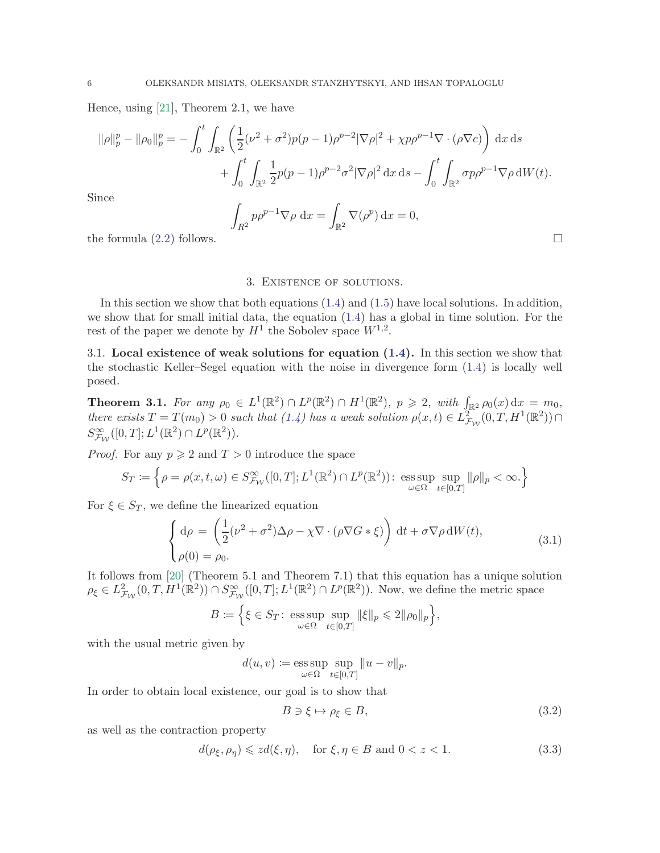Hence, using [\[21\]](#page-25-3), Theorem 2.1, we have

$$
\|\rho\|_p^p - \|\rho_0\|_p^p = -\int_0^t \int_{\mathbb{R}^2} \left( \frac{1}{2} (\nu^2 + \sigma^2) p(p-1) \rho^{p-2} |\nabla \rho|^2 + \chi p \rho^{p-1} \nabla \cdot (\rho \nabla c) \right) dx ds
$$
  
+ 
$$
\int_0^t \int_{\mathbb{R}^2} \frac{1}{2} p(p-1) \rho^{p-2} \sigma^2 |\nabla \rho|^2 dx ds - \int_0^t \int_{\mathbb{R}^2} \sigma p \rho^{p-1} \nabla \rho dW(t).
$$
  
Since  

$$
\int_{R^2} p \rho^{p-1} \nabla \rho dx = \int_{\mathbb{R}^2} \nabla (\rho^p) dx = 0,
$$

<span id="page-5-0"></span>the formula  $(2.2)$  follows.

#### 3. Existence of solutions.

In this section we show that both equations [\(1.4\)](#page-2-1) and [\(1.5\)](#page-2-0) have local solutions. In addition, we show that for small initial data, the equation [\(1.4\)](#page-2-1) has a global in time solution. For the rest of the paper we denote by  $H^1$  the Sobolev space  $W^{1,2}$ .

<span id="page-5-2"></span>3.1. Local existence of weak solutions for equation [\(1.4\)](#page-2-1). In this section we show that the stochastic Keller–Segel equation with the noise in divergence form [\(1.4\)](#page-2-1) is locally well posed.

<span id="page-5-1"></span>**Theorem 3.1.** For any  $\rho_0 \in L^1(\mathbb{R}^2) \cap L^p(\mathbb{R}^2) \cap H^1(\mathbb{R}^2)$ ,  $p \geqslant 2$ , with  $\int_{\mathbb{R}^2} \rho_0(x) dx = m_0$ , there exists  $T = T(m_0) > 0$  such that  $(1.4)$  has a weak solution  $\rho(x,t) \in L_{\mathcal{F}_{\mathcal{W}}}^{2^{\infty}}(0,T, H^1(\mathbb{R}^2)) \cap$  $S^{\infty}_{\mathcal{F}_{\mathcal{W}}}([0,T];L^{1}(\mathbb{R}^{2})\cap L^{p}(\mathbb{R}^{2})).$ 

*Proof.* For any  $p \ge 2$  and  $T > 0$  introduce the space

$$
S_T \coloneqq \left\{ \rho = \rho(x, t, \omega) \in S_{\mathcal{F}_{\mathcal{W}}}^{\infty}([0, T]; L^1(\mathbb{R}^2) \cap L^p(\mathbb{R}^2)) \colon \operatorname*{\mathrm{ess\,sup}}_{\omega \in \Omega} \sup_{t \in [0, T]} \|\rho\|_p < \infty. \right\}
$$

For  $\xi \in S_T$ , we define the linearized equation

<span id="page-5-4"></span>
$$
\begin{cases} d\rho = \left(\frac{1}{2}(\nu^2 + \sigma^2)\Delta\rho - \chi \nabla \cdot (\rho \nabla G * \xi)\right) dt + \sigma \nabla \rho dW(t), \\ \rho(0) = \rho_0. \end{cases}
$$
(3.1)

It follows from [\[20\]](#page-24-18) (Theorem 5.1 and Theorem 7.1) that this equation has a unique solution  $\rho_{\xi} \in L^2_{\mathcal{F}_{\mathcal{W}}}(0,T,H^1(\mathbb{R}^2)) \cap S^{\infty}_{\mathcal{F}_{\mathcal{W}}}([0,T];L^1(\mathbb{R}^2) \cap L^p(\mathbb{R}^2)).$  Now, we define the metric space

$$
B \coloneqq \Big\{ \xi \in S_T \colon \mathop{\rm ess\,sup}_{\omega \in \Omega} \sup_{t \in [0,T]} \|\xi\|_p \leqslant 2 \|\rho_0\|_p \Big\},
$$

with the usual metric given by

$$
d(u, v) := \operatorname*{ess\,sup}_{\omega \in \Omega} \sup_{t \in [0,T]} \|u - v\|_p.
$$

In order to obtain local existence, our goal is to show that

<span id="page-5-3"></span>
$$
B \ni \xi \mapsto \rho_{\xi} \in B,\tag{3.2}
$$

as well as the contraction property

<span id="page-5-5"></span>
$$
d(\rho_{\xi}, \rho_{\eta}) \leq z d(\xi, \eta), \quad \text{for } \xi, \eta \in B \text{ and } 0 < z < 1.
$$
 (3.3)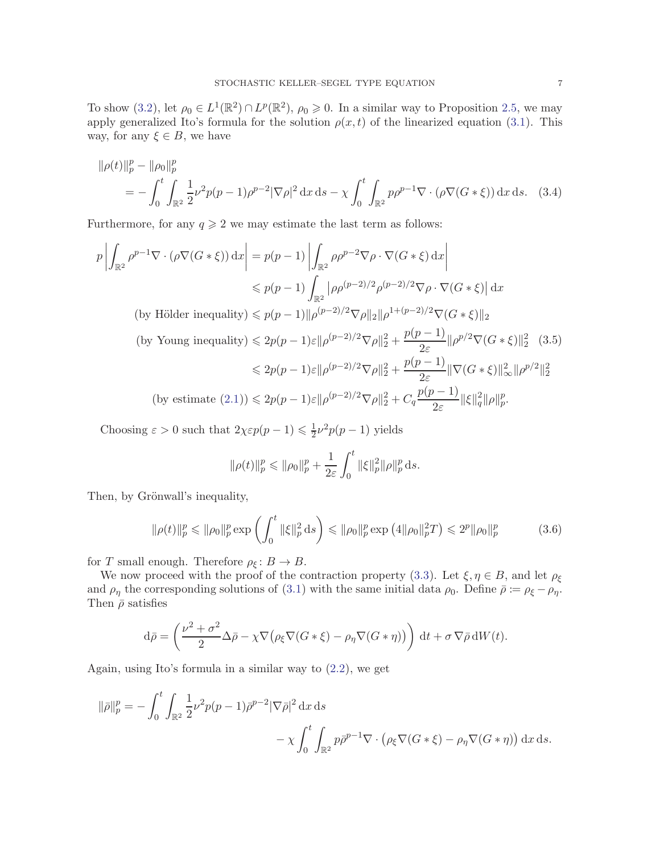To show [\(3.2\)](#page-5-3), let  $\rho_0 \in L^1(\mathbb{R}^2) \cap L^p(\mathbb{R}^2)$ ,  $\rho_0 \geq 0$ . In a similar way to Proposition [2.5,](#page-4-1) we may apply generalized Ito's formula for the solution  $\rho(x, t)$  of the linearized equation [\(3.1\)](#page-5-4). This way, for any  $\xi \in B$ , we have

$$
\|\rho(t)\|_p^p - \|\rho_0\|_p^p
$$
  
=  $-\int_0^t \int_{\mathbb{R}^2} \frac{1}{2} \nu^2 p(p-1) \rho^{p-2} |\nabla \rho|^2 dx ds - \chi \int_0^t \int_{\mathbb{R}^2} p \rho^{p-1} \nabla \cdot (\rho \nabla (G * \xi)) dx ds.$  (3.4)

Furthermore, for any  $q \ge 2$  we may estimate the last term as follows:

$$
p \left| \int_{\mathbb{R}^2} \rho^{p-1} \nabla \cdot (\rho \nabla (G * \xi)) dx \right| = p(p-1) \left| \int_{\mathbb{R}^2} \rho \rho^{p-2} \nabla \rho \cdot \nabla (G * \xi) dx \right|
$$
  
\n
$$
\leq p(p-1) \int_{\mathbb{R}^2} |\rho \rho^{(p-2)/2} \rho^{(p-2)/2} \nabla \rho \cdot \nabla (G * \xi)| dx
$$
  
\n(by Hölder inequality) 
$$
\leq p(p-1) \|\rho^{(p-2)/2} \nabla \rho \|_2 \|\rho^{1+(p-2)/2} \nabla (G * \xi) \|_2
$$
  
\n(by Young inequality) 
$$
\leq 2p(p-1)\varepsilon \|\rho^{(p-2)/2} \nabla \rho \|_2^2 + \frac{p(p-1)}{2\varepsilon} \|\rho^{p/2} \nabla (G * \xi) \|_2^2 \quad (3.5)
$$
  
\n
$$
\leq 2p(p-1)\varepsilon \|\rho^{(p-2)/2} \nabla \rho \|_2^2 + \frac{p(p-1)}{2\varepsilon} \|\nabla (G * \xi) \|_\infty^2 \|\rho^{p/2} \|_2^2
$$
  
\n(by estimate (2.1)) 
$$
\leq 2p(p-1)\varepsilon \|\rho^{(p-2)/2} \nabla \rho \|_2^2 + C_q \frac{p(p-1)}{2\varepsilon} \|\xi\|_q^2 \|\rho\|_p^p.
$$

Choosing  $\varepsilon > 0$  such that  $2\chi \varepsilon p(p-1) \leq \frac{1}{2}$  $\frac{1}{2}\nu^2 p(p-1)$  yields

<span id="page-6-1"></span>
$$
\|\rho(t)\|_p^p \le \|\rho_0\|_p^p + \frac{1}{2\varepsilon} \int_0^t \|\xi\|_p^2 \|\rho\|_p^p ds.
$$

Then, by Grönwall's inequality,

<span id="page-6-0"></span>
$$
\|\rho(t)\|_p^p \le \|\rho_0\|_p^p \exp\left(\int_0^t \|\xi\|_p^2 ds\right) \le \|\rho_0\|_p^p \exp\left(4\|\rho_0\|_p^2 T\right) \le 2^p \|\rho_0\|_p^p \tag{3.6}
$$

for T small enough. Therefore  $\rho_{\xi} : B \to B$ .

We now proceed with the proof of the contraction property [\(3.3\)](#page-5-5). Let  $\xi, \eta \in B$ , and let  $\rho_{\xi}$ and  $\rho_{\eta}$  the corresponding solutions of [\(3.1\)](#page-5-4) with the same initial data  $\rho_0$ . Define  $\bar{\rho} := \rho_{\xi} - \rho_{\eta}$ . Then  $\bar{\rho}$  satisfies

$$
d\bar{\rho} = \left(\frac{\nu^2 + \sigma^2}{2} \Delta \bar{\rho} - \chi \nabla (\rho_{\xi} \nabla (G * \xi) - \rho_{\eta} \nabla (G * \eta))\right) dt + \sigma \nabla \bar{\rho} dW(t).
$$

Again, using Ito's formula in a similar way to [\(2.2\)](#page-4-0), we get

$$
\|\bar{\rho}\|_p^p = -\int_0^t \int_{\mathbb{R}^2} \frac{1}{2} \nu^2 p(p-1) \bar{\rho}^{p-2} |\nabla \bar{\rho}|^2 dx ds
$$
  

$$
- \chi \int_0^t \int_{\mathbb{R}^2} p \bar{\rho}^{p-1} \nabla \cdot (\rho_\xi \nabla (G * \xi) - \rho_\eta \nabla (G * \eta)) dx ds.
$$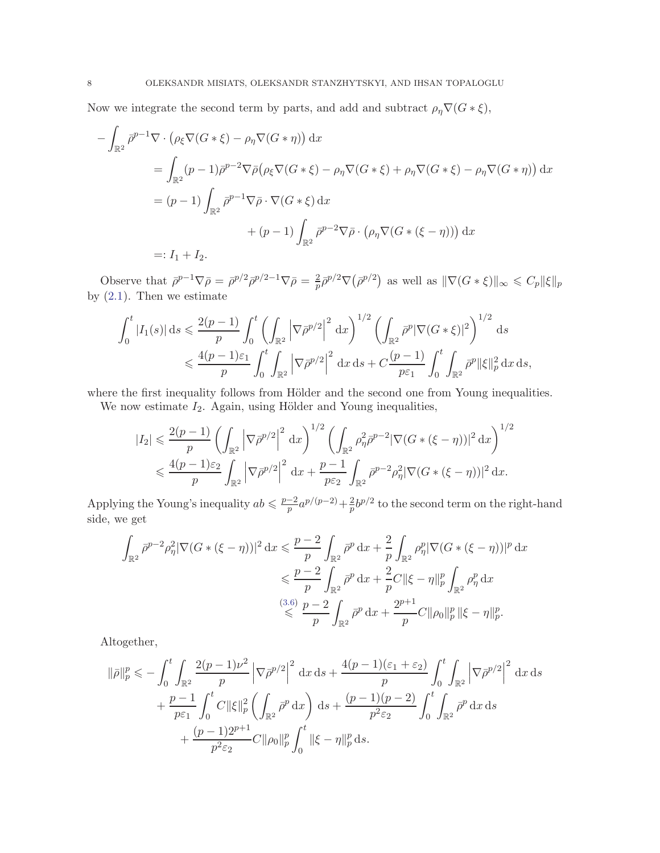Now we integrate the second term by parts, and add and subtract  $\rho_{\eta} \nabla (G * \xi)$ ,

$$
-\int_{\mathbb{R}^2} \bar{\rho}^{p-1} \nabla \cdot (\rho_{\xi} \nabla (G * \xi) - \rho_{\eta} \nabla (G * \eta)) \, dx
$$
  
\n
$$
= \int_{\mathbb{R}^2} (p-1) \bar{\rho}^{p-2} \nabla \bar{\rho} (\rho_{\xi} \nabla (G * \xi) - \rho_{\eta} \nabla (G * \xi) + \rho_{\eta} \nabla (G * \xi) - \rho_{\eta} \nabla (G * \eta)) \, dx
$$
  
\n
$$
= (p-1) \int_{\mathbb{R}^2} \bar{\rho}^{p-1} \nabla \bar{\rho} \cdot \nabla (G * \xi) \, dx
$$
  
\n
$$
+ (p-1) \int_{\mathbb{R}^2} \bar{\rho}^{p-2} \nabla \bar{\rho} \cdot (\rho_{\eta} \nabla (G * (\xi - \eta))) \, dx
$$
  
\n
$$
=: I_1 + I_2.
$$

Observe that  $\bar{\rho}^{p-1}\nabla\bar{\rho} = \bar{\rho}^{p/2}\bar{\rho}^{p/2-1}\nabla\bar{\rho} = \frac{2}{p}$  $\frac{2}{p}\bar{\rho}^{p/2}\nabla(\bar{\rho}^{p/2})$  as well as  $\|\nabla(G*\xi)\|_{\infty} \leqslant C_p \|\xi\|_p$ by  $(2.1)$ . Then we estimate

$$
\int_0^t |I_1(s)| ds \leq \frac{2(p-1)}{p} \int_0^t \left( \int_{\mathbb{R}^2} |\nabla \bar{\rho}^{p/2}|^2 dx \right)^{1/2} \left( \int_{\mathbb{R}^2} \bar{\rho}^p |\nabla (G * \xi)|^2 \right)^{1/2} ds
$$
  

$$
\leq \frac{4(p-1)\varepsilon_1}{p} \int_0^t \int_{\mathbb{R}^2} |\nabla \bar{\rho}^{p/2}|^2 dx ds + C \frac{(p-1)}{p\varepsilon_1} \int_0^t \int_{\mathbb{R}^2} \bar{\rho}^p ||\xi||_p^2 dx ds,
$$

where the first inequality follows from Hölder and the second one from Young inequalities.

We now estimate  $I_2$ . Again, using Hölder and Young inequalities,

$$
|I_2| \leq \frac{2(p-1)}{p} \left( \int_{\mathbb{R}^2} \left| \nabla \bar{\rho}^{p/2} \right|^2 dx \right)^{1/2} \left( \int_{\mathbb{R}^2} \rho_\eta^2 \bar{\rho}^{p-2} |\nabla (G * (\xi - \eta))|^2 dx \right)^{1/2}
$$
  

$$
\leq \frac{4(p-1)\varepsilon_2}{p} \int_{\mathbb{R}^2} \left| \nabla \bar{\rho}^{p/2} \right|^2 dx + \frac{p-1}{p\varepsilon_2} \int_{\mathbb{R}^2} \bar{\rho}^{p-2} \rho_\eta^2 |\nabla (G * (\xi - \eta))|^2 dx.
$$

Applying the Young's inequality  $ab \leq \frac{p-2}{p}$  $\frac{-2}{p}a^{p/(p-2)}+\frac{2}{p}$  $\frac{2}{p}b^{p/2}$  to the second term on the right-hand side, we get

$$
\int_{\mathbb{R}^2} \bar{\rho}^{p-2} \rho_{\eta}^2 |\nabla (G * (\xi - \eta))|^2 \, dx \leq \frac{p-2}{p} \int_{\mathbb{R}^2} \bar{\rho}^p \, dx + \frac{2}{p} \int_{\mathbb{R}^2} \rho_{\eta}^p |\nabla (G * (\xi - \eta))|^p \, dx
$$
  

$$
\leq \frac{p-2}{p} \int_{\mathbb{R}^2} \bar{\rho}^p \, dx + \frac{2}{p} C ||\xi - \eta||_p^p \int_{\mathbb{R}^2} \rho_{\eta}^p \, dx
$$
  

$$
\leq \frac{(3.6)}{p} \frac{p-2}{p} \int_{\mathbb{R}^2} \bar{\rho}^p \, dx + \frac{2^{p+1}}{p} C ||\rho_0||_p^p ||\xi - \eta||_p^p.
$$

Altogether,

$$
\|\bar{\rho}\|_{p}^{p} \leqslant -\int_{0}^{t} \int_{\mathbb{R}^{2}} \frac{2(p-1)\nu^{2}}{p} \left|\nabla \bar{\rho}^{p/2}\right|^{2} dx ds + \frac{4(p-1)(\varepsilon_{1} + \varepsilon_{2})}{p} \int_{0}^{t} \int_{\mathbb{R}^{2}} \left|\nabla \bar{\rho}^{p/2}\right|^{2} dx ds + \frac{p-1}{p\varepsilon_{1}} \int_{0}^{t} C \|\xi\|_{p}^{2} \left(\int_{\mathbb{R}^{2}} \bar{\rho}^{p} dx\right) ds + \frac{(p-1)(p-2)}{p^{2}\varepsilon_{2}} \int_{0}^{t} \int_{\mathbb{R}^{2}} \bar{\rho}^{p} dx ds + \frac{(p-1)2^{p+1}}{p^{2}\varepsilon_{2}} C \|\rho_{0}\|_{p}^{p} \int_{0}^{t} \|\xi - \eta\|_{p}^{p} ds.
$$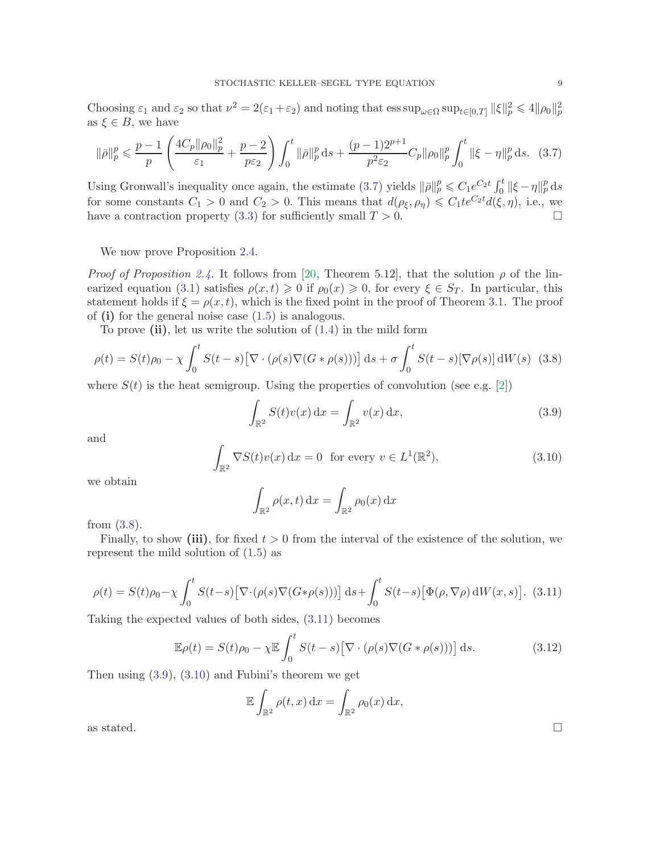Choosing  $\varepsilon_1$  and  $\varepsilon_2$  so that  $\nu^2 = 2(\varepsilon_1 + \varepsilon_2)$  and noting that  $\operatorname{ess \, sup}_{\omega \in \Omega} \operatorname{sup}_{t \in [0,T]} ||\xi||_p^2 \le 4||\rho_0||_p^2$ as  $\xi \in B$ , we have

<span id="page-8-0"></span>
$$
\|\bar{\rho}\|_{p}^{p} \leq \frac{p-1}{p} \left( \frac{4C_{p} \|\rho_{0}\|_{p}^{2}}{\varepsilon_{1}} + \frac{p-2}{p\varepsilon_{2}} \right) \int_{0}^{t} \|\bar{\rho}\|_{p}^{p} ds + \frac{(p-1)2^{p+1}}{p^{2}\varepsilon_{2}} C_{p} \|\rho_{0}\|_{p}^{p} \int_{0}^{t} \|\xi - \eta\|_{p}^{p} ds. \tag{3.7}
$$

Using Gronwall's inequality once again, the estimate [\(3.7\)](#page-8-0) yields  $\|\bar{\rho}\|_p^p \leq C_1 e^{C_2 t} \int_0^t \|\xi - \eta\|_p^p ds$ for some constants  $C_1 > 0$  and  $C_2 > 0$ . This means that  $d(\rho_{\xi}, \rho_{\eta}) \leq C_1 t e^{C_2 t} d(\xi, \eta)$ , i.e., we have a contraction property [\(3.3\)](#page-5-5) for sufficiently small  $T > 0$ .

We now prove Proposition [2.4.](#page-4-2)

*Proof of Proposition [2.4.](#page-4-2)* It follows from [\[20,](#page-24-18) Theorem 5.12], that the solution  $\rho$  of the lin-earized equation [\(3.1\)](#page-5-4) satisfies  $\rho(x, t) \geq 0$  if  $\rho_0(x) \geq 0$ , for every  $\xi \in S_T$ . In particular, this statement holds if  $\xi = \rho(x, t)$ , which is the fixed point in the proof of Theorem [3.1.](#page-5-1) The proof of  $(i)$  for the general noise case  $(1.5)$  is analogous.

To prove  $(ii)$ , let us write the solution of  $(1.4)$  in the mild form

<span id="page-8-1"></span>
$$
\rho(t) = S(t)\rho_0 - \chi \int_0^t S(t-s) \left[ \nabla \cdot (\rho(s) \nabla (G * \rho(s))) \right] ds + \sigma \int_0^t S(t-s) \left[ \nabla \rho(s) \right] dW(s)
$$
 (3.8)

where  $S(t)$  is the heat semigroup. Using the properties of convolution (see e.g. [\[2\]](#page-24-13))

<span id="page-8-3"></span>
$$
\int_{\mathbb{R}^2} S(t)v(x) dx = \int_{\mathbb{R}^2} v(x) dx,
$$
\n(3.9)

and

<span id="page-8-4"></span>
$$
\int_{\mathbb{R}^2} \nabla S(t)v(x) dx = 0 \text{ for every } v \in L^1(\mathbb{R}^2),
$$
\n(3.10)

we obtain

$$
\int_{\mathbb{R}^2} \rho(x, t) \, dx = \int_{\mathbb{R}^2} \rho_0(x) \, dx
$$

from [\(3.8\)](#page-8-1).

Finally, to show (iii), for fixed  $t > 0$  from the interval of the existence of the solution, we represent the mild solution of [\(1.5\)](#page-2-0) as

<span id="page-8-2"></span>
$$
\rho(t) = S(t)\rho_0 - \chi \int_0^t S(t-s) \left[ \nabla \cdot (\rho(s) \nabla (G \ast \rho(s))) \right] ds + \int_0^t S(t-s) \left[ \Phi(\rho, \nabla \rho) dW(x, s) \right]. \tag{3.11}
$$

Taking the expected values of both sides, [\(3.11\)](#page-8-2) becomes

$$
\mathbb{E}\rho(t) = S(t)\rho_0 - \chi \mathbb{E}\int_0^t S(t-s)\big[\nabla \cdot (\rho(s)\nabla(G*\rho(s)))\big] ds.
$$
 (3.12)

Then using [\(3.9\)](#page-8-3), [\(3.10\)](#page-8-4) and Fubini's theorem we get

$$
\mathbb{E}\int_{\mathbb{R}^2}\rho(t,x)\,\mathrm{d} x=\int_{\mathbb{R}^2}\rho_0(x)\,\mathrm{d} x,
$$
 as stated.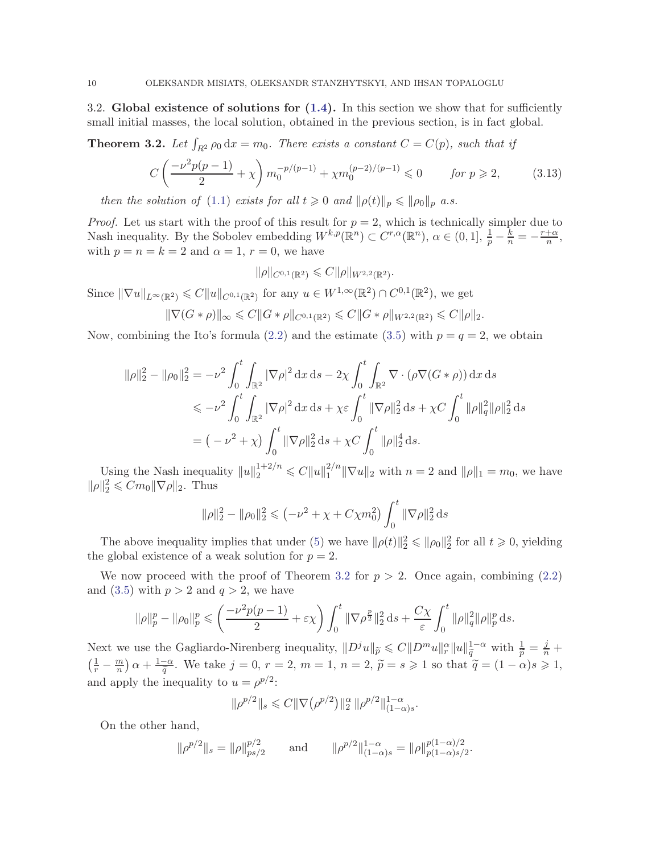<span id="page-9-2"></span>3.2. Global existence of solutions for  $(1.4)$ . In this section we show that for sufficiently small initial masses, the local solution, obtained in the previous section, is in fact global.

<span id="page-9-0"></span>**Theorem 3.2.** Let  $\int_{R^2} \rho_0 dx = m_0$ . There exists a constant  $C = C(p)$ , such that if

<span id="page-9-1"></span>
$$
C\left(\frac{-\nu^2 p(p-1)}{2} + \chi\right) m_0^{-p/(p-1)} + \chi m_0^{(p-2)/(p-1)} \leq 0 \qquad \text{for } p \geq 2,\tag{3.13}
$$

then the solution of [\(1.1\)](#page-0-0) exists for all  $t \geq 0$  and  $\|\rho(t)\|_p \leq \|\rho_0\|_p$  a.s.

*Proof.* Let us start with the proof of this result for  $p = 2$ , which is technically simpler due to Nash inequality. By the Sobolev embedding  $W^{k,p}(\mathbb{R}^n) \subset C^{r,\alpha}(\mathbb{R}^n)$ ,  $\alpha \in (0,1], \frac{1}{p} - \frac{k}{n} = -\frac{r+\alpha}{n}$  $\frac{+\alpha}{n},$ with  $p = n = k = 2$  and  $\alpha = 1, r = 0$ , we have

 $\|\rho\|_{C^{0,1}(\mathbb{R}^2)} \leqslant C \|\rho\|_{W^{2,2}(\mathbb{R}^2)}.$ 

Since  $\|\nabla u\|_{L^{\infty}(\mathbb{R}^2)} \leqslant C \|u\|_{C^{0,1}(\mathbb{R}^2)}$  for any  $u \in W^{1,\infty}(\mathbb{R}^2) \cap C^{0,1}(\mathbb{R}^2)$ , we get

$$
\|\nabla (G*\rho)\|_{\infty} \leq C \|G*\rho\|_{C^{0,1}(\mathbb{R}^2)} \leq C \|G*\rho\|_{W^{2,2}(\mathbb{R}^2)} \leq C \|\rho\|_2.
$$

Now, combining the Ito's formula [\(2.2\)](#page-4-0) and the estimate [\(3.5\)](#page-6-1) with  $p = q = 2$ , we obtain

$$
\|\rho\|_{2}^{2} - \|\rho_{0}\|_{2}^{2} = -\nu^{2} \int_{0}^{t} \int_{\mathbb{R}^{2}} |\nabla \rho|^{2} dx ds - 2\chi \int_{0}^{t} \int_{\mathbb{R}^{2}} \nabla \cdot (\rho \nabla (G * \rho)) dx ds
$$
  
\$\leqslant -\nu^{2} \int\_{0}^{t} \int\_{\mathbb{R}^{2}} |\nabla \rho|^{2} dx ds + \chi \varepsilon \int\_{0}^{t} ||\nabla \rho||\_{2}^{2} ds + \chi C \int\_{0}^{t} ||\rho||\_{q}^{2} ||\rho||\_{2}^{2} ds\$  
= \left( -\nu^{2} + \chi \right) \int\_{0}^{t} ||\nabla \rho||\_{2}^{2} ds + \chi C \int\_{0}^{t} ||\rho||\_{2}^{4} ds.

Using the Nash inequality  $||u||_2^{1+2/n} \leq C||u||_1^{2/n}$  $\|T_1^{2/n}\|\nabla u\|_2$  with  $n = 2$  and  $\|\rho\|_1 = m_0$ , we have  $\|\rho\|_2^2 \leq Cm_0 \|\nabla \rho\|_2$ . Thus

$$
\|\rho\|_2^2 - \|\rho_0\|_2^2 \leq \left(-\nu^2 + \chi + C\chi m_0^2\right) \int_0^t \|\nabla \rho\|_2^2 ds
$$

The above inequality implies that under [\(5\)](#page-21-1) we have  $\|\rho(t)\|_2^2 \leq \|\rho_0\|_2^2$  for all  $t \geq 0$ , yielding the global existence of a weak solution for  $p = 2$ .

We now proceed with the proof of Theorem [3.2](#page-9-0) for  $p > 2$ . Once again, combining [\(2.2\)](#page-4-0) and [\(3.5\)](#page-6-1) with  $p > 2$  and  $q > 2$ , we have

$$
\|\rho\|_p^p - \|\rho_0\|_p^p \le \left(\frac{-\nu^2 p(p-1)}{2} + \varepsilon \chi\right) \int_0^t \|\nabla \rho^{\frac{p}{2}}\|_2^2 ds + \frac{C\chi}{\varepsilon} \int_0^t \|\rho\|_q^2 \|\rho\|_p^p ds.
$$

Next we use the Gagliardo-Nirenberg inequality,  $||D^j u||_{\tilde{p}} \leqslant C ||D^m u||_{r}^{\alpha} ||u||_{\tilde{q}}^{1-\alpha}$  with  $\frac{1}{\tilde{p}} = \frac{j}{n} + \frac{1}{n}$  $\left(\frac{1}{r} - \frac{m}{n}\right)$  $\left(\frac{m}{n}\right)\alpha+\frac{1-\alpha}{\widetilde{q}}.$  We take  $j=0, r=2, m=1, n=2, \widetilde{p}=s\geqslant 1$  so that  $\widetilde{q}=(1-\alpha)s\geqslant 1,$ and apply the inequality to  $u = \rho^{p/2}$ :

$$
\|\rho^{p/2}\|_{s} \leq C \|\nabla \big(\rho^{p/2}\big)\|_{2}^{\alpha} \|\rho^{p/2}\|_{(1-\alpha)s}^{1-\alpha}.
$$

On the other hand,

$$
\|\rho^{p/2}\|_{s} = \|\rho\|_{ps/2}^{p/2} \quad \text{and} \quad \|\rho^{p/2}\|_{(1-\alpha)s}^{1-\alpha} = \|\rho\|_{p(1-\alpha)s/2}^{p(1-\alpha)/2}.
$$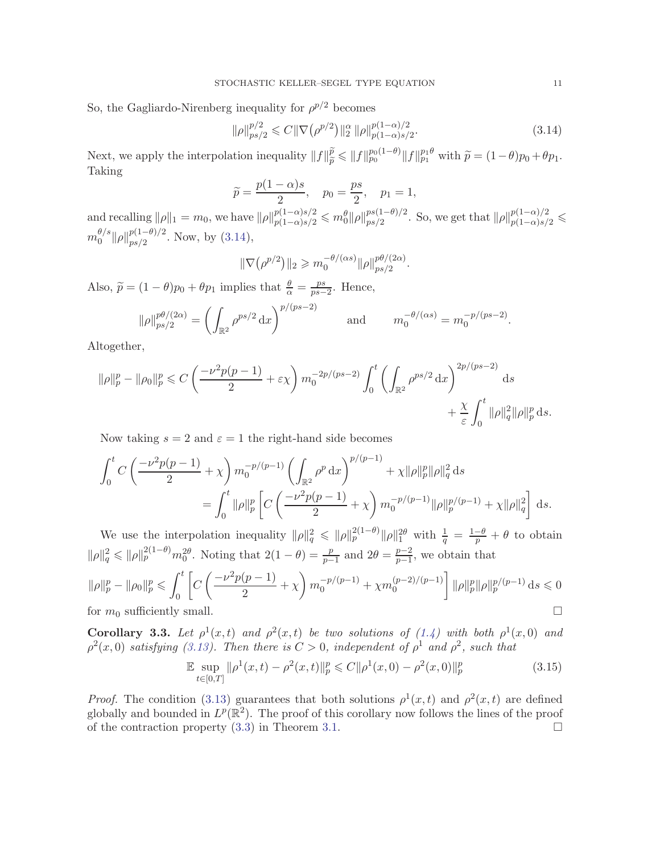So, the Gagliardo-Nirenberg inequality for  $\rho^{p/2}$  becomes

<span id="page-10-0"></span>
$$
\|\rho\|_{ps/2}^{p/2} \leq C \|\nabla \left(\rho^{p/2}\right)\|_{2}^{\alpha} \|\rho\|_{p(1-\alpha)s/2}^{p(1-\alpha)/2}.
$$
\n(3.14)

Next, we apply the interpolation inequality  $||f||_{\tilde{p}}^{\tilde{p}} \le ||f||_{p_0}^{p_0(1-\theta)} ||f||_{p_1}^{p_1\theta}$  with  $\tilde{p} = (1-\theta)p_0 + \theta p_1$ . Taking

$$
\widetilde{p} = \frac{p(1-\alpha)s}{2}, \quad p_0 = \frac{ps}{2}, \quad p_1 = 1,
$$

and recalling  $\|\rho\|_1 = m_0$ , we have  $\|\rho\|_{p(1-\alpha)s/2}^{p(1-\alpha)s/2} \leq m_0^{\theta} \|\rho\|_{ps/2}^{ps(1-\theta)/2}$  $_{ps/2}^{ps(1-\theta)/2}$ . So, we get that  $\|\rho\|_{p(1-\alpha)s/2}^{p(1-\alpha)/2} \leq$  $m_0^{\theta/s}$  $_0^{\theta/s}$   $\|\rho\|_{ps/2}^{p(1-\theta)/2}$  $_{ps/2}^{p(1-v)/2}$ . Now, by [\(3.14\)](#page-10-0),

$$
\|\nabla \big(\rho^{p/2}\big)\|_2 \geqslant m_0^{-\theta/(\alpha s)} \|\rho\|_{ps/2}^{p\theta/(2\alpha)}.
$$

Also,  $\widetilde{p} = (1 - \theta)p_0 + \theta p_1$  implies that  $\frac{\theta}{\alpha} = \frac{ps}{ps}$  $\frac{ps}{ps-2}$ . Hence,

$$
\|\rho\|_{ps/2}^{p\theta/(2\alpha)} = \left(\int_{\mathbb{R}^2} \rho^{ps/2} dx\right)^{p/(ps-2)} \quad \text{and} \quad m_0^{-\theta/(\alpha s)} = m_0^{-p/(ps-2)}.
$$

Altogether,

$$
\|\rho\|_p^p - \|\rho_0\|_p^p \le C \left( \frac{-\nu^2 p(p-1)}{2} + \varepsilon \chi \right) m_0^{-2p/(ps-2)} \int_0^t \left( \int_{\mathbb{R}^2} \rho^{ps/2} dx \right)^{2p/(ps-2)} ds + \frac{\chi}{\varepsilon} \int_0^t \|\rho\|_q^2 \|\rho\|_p^p ds.
$$

Now taking  $s = 2$  and  $\varepsilon = 1$  the right-hand side becomes

$$
\int_0^t C \left( \frac{-\nu^2 p(p-1)}{2} + \chi \right) m_0^{-p/(p-1)} \left( \int_{\mathbb{R}^2} \rho^p \, dx \right)^{p/(p-1)} + \chi \|\rho\|_p^p \|\rho\|_q^2 \, ds
$$
  
= 
$$
\int_0^t \|\rho\|_p^p \left[ C \left( \frac{-\nu^2 p(p-1)}{2} + \chi \right) m_0^{-p/(p-1)} \|\rho\|_p^{p/(p-1)} + \chi \|\rho\|_q^2 \right] \, ds.
$$

We use the interpolation inequality  $\|\rho\|_q^2 \leqslant \|\rho\|_p^{2(1-\theta)} \|\rho\|_1^{2\theta}$  with  $\frac{1}{q} = \frac{1-\theta}{p} + \theta$  to obtain  $\|\rho\|_q^2 \leqslant \|\rho\|_p^{2(1-\theta)} m_0^{2\theta}$ . Noting that  $2(1-\theta) = \frac{p}{p-1}$  and  $2\theta = \frac{p-2}{p-1}$  $\frac{p-2}{p-1}$ , we obtain that

$$
\|\rho\|_p^p - \|\rho_0\|_p^p \le \int_0^t \left[ C\left( \frac{-\nu^2 p(p-1)}{2} + \chi \right) m_0^{-p/(p-1)} + \chi m_0^{(p-2)/(p-1)} \right] \|\rho\|_p^p \|\rho\|_p^{p/(p-1)} ds \le 0
$$
 for  $m_0$  sufficiently small.

**Corollary 3.3.** Let  $\rho^1(x,t)$  and  $\rho^2(x,t)$  be two solutions of [\(1.4\)](#page-2-1) with both  $\rho^1(x,0)$  and  $\rho^2(x,0)$  satisfying [\(3.13\)](#page-9-1). Then there is  $C>0$ , independent of  $\rho^1$  and  $\rho^2$ , such that

$$
\mathbb{E} \sup_{t \in [0,T]} \|\rho^1(x,t) - \rho^2(x,t)\|_p^p \leq C \|\rho^1(x,0) - \rho^2(x,0)\|_p^p \tag{3.15}
$$

*Proof.* The condition [\(3.13\)](#page-9-1) guarantees that both solutions  $\rho^1(x,t)$  and  $\rho^2(x,t)$  are defined globally and bounded in  $L^p(\mathbb{R}^2)$ . The proof of this corollary now follows the lines of the proof of the contraction property  $(3.3)$  in Theorem [3.1.](#page-5-1)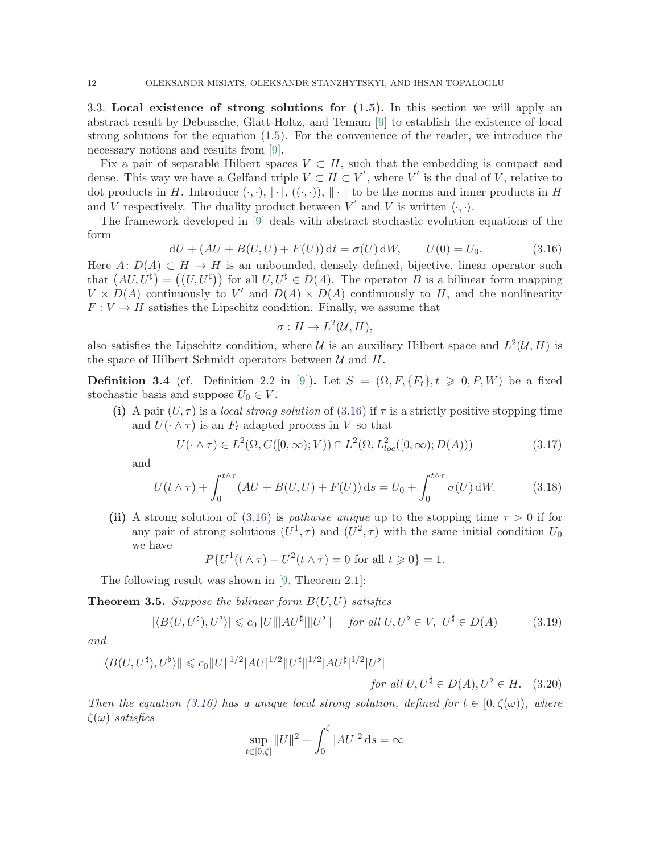<span id="page-11-0"></span>3.3. Local existence of strong solutions for [\(1.5\)](#page-2-0). In this section we will apply an abstract result by Debussche, Glatt-Holtz, and Temam [\[9\]](#page-24-17) to establish the existence of local strong solutions for the equation [\(1.5\)](#page-2-0). For the convenience of the reader, we introduce the necessary notions and results from [\[9\]](#page-24-17).

Fix a pair of separable Hilbert spaces  $V \subset H$ , such that the embedding is compact and dense. This way we have a Gelfand triple  $V \subset H \subset V'$ , where V' is the dual of V, relative to dot products in H. Introduce  $(\cdot, \cdot), |\cdot|, ((\cdot, \cdot)), ||\cdot||$  to be the norms and inner products in H and V respectively. The duality product between  $V'$  and V is written  $\langle \cdot, \cdot \rangle$ .

The framework developed in [\[9\]](#page-24-17) deals with abstract stochastic evolution equations of the form

<span id="page-11-1"></span>
$$
dU + (AU + B(U, U) + F(U)) dt = \sigma(U) dW, \qquad U(0) = U_0.
$$
 (3.16)

Here  $A: D(A) \subset H \to H$  is an unbounded, densely defined, bijective, linear operator such that  $(AU, U^{\sharp}) = ((U, U^{\sharp}))$  for all  $U, U^{\sharp} \in D(A)$ . The operator B is a bilinear form mapping  $V \times D(A)$  continuously to V' and  $D(A) \times D(A)$  continuously to H, and the nonlinearity  $F: V \to H$  satisfies the Lipschitz condition. Finally, we assume that

$$
\sigma: H \to L^2(\mathcal{U}, H),
$$

also satisfies the Lipschitz condition, where U is an auxiliary Hilbert space and  $L^2(U, H)$  is the space of Hilbert-Schmidt operators between  $\mathcal U$  and  $H$ .

<span id="page-11-2"></span>**Definition 3.4** (cf. Definition 2.2 in [\[9\]](#page-24-17)). Let  $S = (\Omega, F, \{F_t\}, t \geq 0, P, W)$  be a fixed stochastic basis and suppose  $U_0 \in V$ .

(i) A pair  $(U, \tau)$  is a local strong solution of [\(3.16\)](#page-11-1) if  $\tau$  is a strictly positive stopping time and  $U(\cdot \wedge \tau)$  is an  $F_t$ -adapted process in V so that

<span id="page-11-6"></span>
$$
U(\cdot \wedge \tau) \in L^2(\Omega, C([0, \infty); V)) \cap L^2(\Omega, L^2_{loc}([0, \infty); D(A)))
$$
\n(3.17)

and

$$
U(t \wedge \tau) + \int_0^{t \wedge \tau} (AU + B(U, U) + F(U)) ds = U_0 + \int_0^{t \wedge \tau} \sigma(U) dW.
$$
 (3.18)

(ii) A strong solution of [\(3.16\)](#page-11-1) is *pathwise unique* up to the stopping time  $\tau > 0$  if for any pair of strong solutions  $(U^1, \tau)$  and  $(U^2, \tau)$  with the same initial condition  $U_0$ we have

$$
P\{U^1(t\wedge\tau) - U^2(t\wedge\tau) = 0 \text{ for all } t \geq 0\} = 1.
$$

The following result was shown in [\[9,](#page-24-17) Theorem 2.1]:

<span id="page-11-3"></span>**Theorem 3.5.** Suppose the bilinear form  $B(U, U)$  satisfies

<span id="page-11-4"></span>
$$
|\langle B(U, U^{\sharp}), U^{\flat} \rangle| \leq c_0 \|U\| |AU^{\sharp}||U^{\flat}|| \quad \text{for all } U, U^{\flat} \in V, \ U^{\sharp} \in D(A) \tag{3.19}
$$

and

$$
\|\langle B(U, U^{\sharp}), U^{\flat}\rangle\| \le c_0 \|U\|^{1/2} |AU|^{1/2} \|U^{\sharp}\|^{1/2} |AU^{\sharp}|^{1/2} |U^{\flat}|
$$
  
for all  $U, U^{\sharp} \in D(A), U^{\flat} \in H$ . (3.20)

Then the equation [\(3.16\)](#page-11-1) has a unique local strong solution, defined for  $t \in [0,\zeta(\omega))$ , where  $\zeta(\omega)$  satisfies

<span id="page-11-5"></span>
$$
\sup_{t \in [0,\zeta]} \|U\|^2 + \int_0^{\zeta} |AU|^2 \, \mathrm{d} s = \infty
$$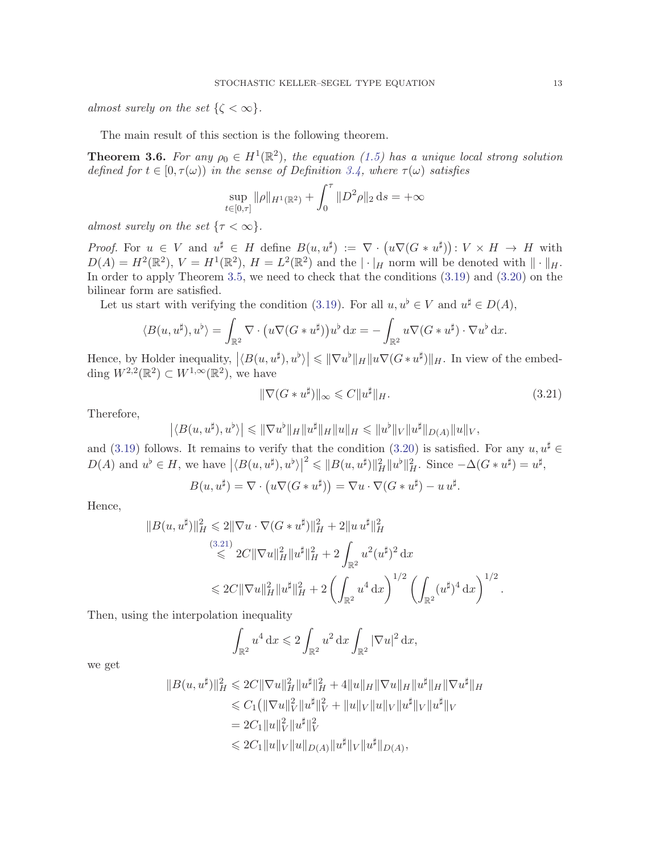almost surely on the set  $\{\zeta < \infty\}.$ 

The main result of this section is the following theorem.

<span id="page-12-0"></span>**Theorem 3.6.** For any  $\rho_0 \in H^1(\mathbb{R}^2)$ , the equation [\(1.5\)](#page-2-0) has a unique local strong solution defined for  $t \in [0, \tau(\omega))$  in the sense of Definition [3.4,](#page-11-2) where  $\tau(\omega)$  satisfies

$$
\sup_{t \in [0,\tau]} \|\rho\|_{H^1(\mathbb{R}^2)} + \int_0^\tau \|D^2 \rho\|_2 \, \mathrm{d} s = +\infty
$$

almost surely on the set  $\{\tau < \infty\}.$ 

*Proof.* For  $u \in V$  and  $u^{\sharp} \in H$  define  $B(u, u^{\sharp}) := \nabla \cdot (u \nabla (G * u^{\sharp})) : V \times H \to H$  with  $D(A) = H^2(\mathbb{R}^2), V = H^1(\mathbb{R}^2), H = L^2(\mathbb{R}^2)$  and the  $|\cdot|_H$  norm will be denoted with  $||\cdot||_H$ . In order to apply Theorem [3.5,](#page-11-3) we need to check that the conditions [\(3.19\)](#page-11-4) and [\(3.20\)](#page-11-5) on the bilinear form are satisfied.

Let us start with verifying the condition [\(3.19\)](#page-11-4). For all  $u, u^{\flat} \in V$  and  $u^{\sharp} \in D(A)$ ,

$$
\langle B(u, u^{\sharp}), u^{\flat} \rangle = \int_{\mathbb{R}^2} \nabla \cdot \left( u \nabla (G * u^{\sharp}) \right) u^{\flat} dx = - \int_{\mathbb{R}^2} u \nabla (G * u^{\sharp}) \cdot \nabla u^{\flat} dx.
$$

Hence, by Holder inequality,  $|\langle B(u, u^{\sharp}), u^{\flat} \rangle| \leqslant ||\nabla u^{\flat}||_H ||u \nabla (G * u^{\sharp})||_H$ . In view of the embedding  $W^{2,2}(\mathbb{R}^2) \subset W^{1,\infty}(\mathbb{R}^2)$ , we have

<span id="page-12-1"></span>
$$
\|\nabla(G * u^{\sharp})\|_{\infty} \leqslant C \|u^{\sharp}\|_{H}.
$$
\n(3.21)

Therefore,

$$
\left| \langle B(u, u^{\sharp}), u^{\flat} \rangle \right| \leq \|\nabla u^{\flat}\|_{H} \|u^{\sharp}\|_{H} \|u\|_{H} \leq \|u^{\flat}\|_{V} \|u^{\sharp}\|_{D(A)} \|u\|_{V},
$$

and [\(3.19\)](#page-11-4) follows. It remains to verify that the condition [\(3.20\)](#page-11-5) is satisfied. For any  $u, u^{\sharp} \in$  $D(A)$  and  $u^{\flat} \in H$ , we have  $|\langle B(u, u^{\sharp}), u^{\flat} \rangle|^2 \leqslant ||B(u, u^{\sharp})||_H^2 ||u^{\flat}||_H^2$ . Since  $-\Delta(G * u^{\sharp}) = u^{\sharp}$ ,

$$
B(u, u^{\sharp}) = \nabla \cdot (u \nabla (G * u^{\sharp})) = \nabla u \cdot \nabla (G * u^{\sharp}) - u u^{\sharp}.
$$

Hence,

$$
||B(u, u^{\sharp})||_H^2 \le 2||\nabla u \cdot \nabla (G * u^{\sharp})||_H^2 + 2||u u^{\sharp}||_H^2
$$
  
\n
$$
\le 2C||\nabla u||_H^2 ||u^{\sharp}||_H^2 + 2 \int_{\mathbb{R}^2} u^2 (u^{\sharp})^2 dx
$$
  
\n
$$
\le 2C||\nabla u||_H^2 ||u^{\sharp}||_H^2 + 2\left(\int_{\mathbb{R}^2} u^4 dx\right)^{1/2} \left(\int_{\mathbb{R}^2} (u^{\sharp})^4 dx\right)^{1/2}.
$$

Then, using the interpolation inequality

$$
\int_{\mathbb{R}^2} u^4 \, \mathrm{d}x \leqslant 2 \int_{\mathbb{R}^2} u^2 \, \mathrm{d}x \int_{\mathbb{R}^2} |\nabla u|^2 \, \mathrm{d}x,
$$

we get

$$
||B(u, u^{\sharp})||_H^2 \leq 2C ||\nabla u||_H^2 ||u^{\sharp}||_H^2 + 4||u||_H ||\nabla u||_H ||u^{\sharp}||_H ||\nabla u^{\sharp}||_H
$$
  
\n
$$
\leq C_1 (||\nabla u||_V^2 ||u^{\sharp}||_V^2 + ||u||_V ||u||_V ||u^{\sharp}||_V ||u^{\sharp}||_V
$$
  
\n
$$
= 2C_1 ||u||_V^2 ||u^{\sharp}||_V^2
$$
  
\n
$$
\leq 2C_1 ||u||_V ||u||_{D(A)} ||u^{\sharp}||_V ||u^{\sharp}||_{D(A)},
$$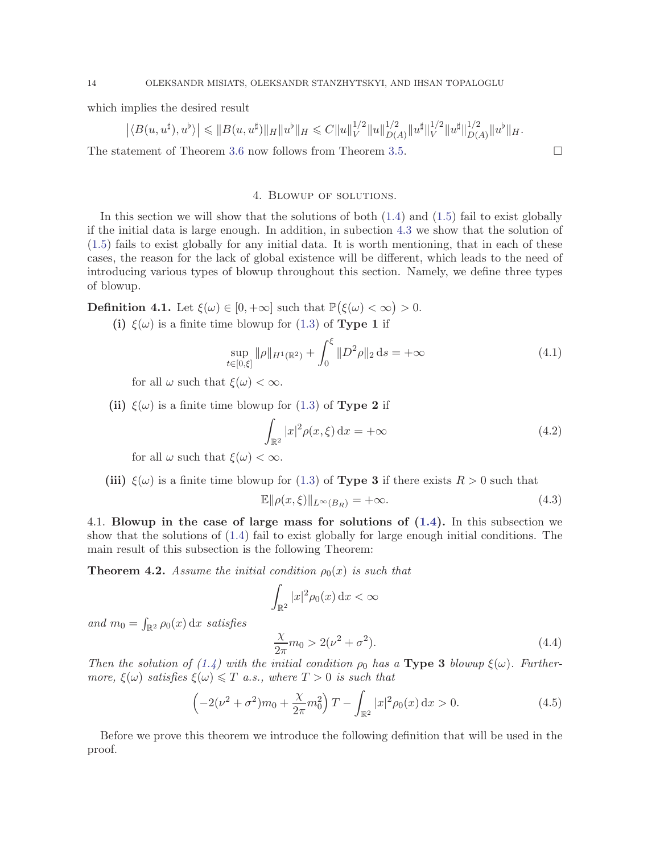which implies the desired result

$$
\left| \langle B(u, u^{\sharp}), u^{\flat} \rangle \right| \leq \| B(u, u^{\sharp}) \|_{H} \| u^{\flat} \|_{H} \leq C \| u \|_{V}^{1/2} \| u \|_{D(A)}^{1/2} \| u^{\sharp} \|_{V}^{1/2} \| u^{\sharp} \|_{D(A)}^{1/2} \| u^{\flat} \|_{H}.
$$
  
The statement of Theorem 3.6 now follows from Theorem 3.5.

### 4. Blowup of solutions.

<span id="page-13-0"></span>In this section we will show that the solutions of both  $(1.4)$  and  $(1.5)$  fail to exist globally if the initial data is large enough. In addition, in subection [4.3](#page-18-0) we show that the solution of [\(1.5\)](#page-2-0) fails to exist globally for any initial data. It is worth mentioning, that in each of these cases, the reason for the lack of global existence will be different, which leads to the need of introducing various types of blowup throughout this section. Namely, we define three types of blowup.

<span id="page-13-1"></span>**Definition 4.1.** Let  $\xi(\omega) \in [0, +\infty]$  such that  $\mathbb{P}(\xi(\omega) < \infty) > 0$ .

(i)  $\xi(\omega)$  is a finite time blowup for [\(1.3\)](#page-0-2) of **Type 1** if

<span id="page-13-5"></span>
$$
\sup_{t \in [0,\xi]} \|\rho\|_{H^1(\mathbb{R}^2)} + \int_0^{\xi} \|D^2 \rho\|_2 \, ds = +\infty \tag{4.1}
$$

for all  $\omega$  such that  $\xi(\omega) < \infty$ .

(ii)  $\xi(\omega)$  is a finite time blowup for [\(1.3\)](#page-0-2) of **Type 2** if

$$
\int_{\mathbb{R}^2} |x|^2 \rho(x,\xi) dx = +\infty \tag{4.2}
$$

for all  $\omega$  such that  $\xi(\omega) < \infty$ .

(iii)  $\xi(\omega)$  is a finite time blowup for [\(1.3\)](#page-0-2) of **Type 3** if there exists  $R > 0$  such that

$$
\mathbb{E} \|\rho(x,\xi)\|_{L^{\infty}(B_R)} = +\infty. \tag{4.3}
$$

4.1. Blowup in the case of large mass for solutions of [\(1.4\)](#page-2-1). In this subsection we show that the solutions of [\(1.4\)](#page-2-1) fail to exist globally for large enough initial conditions. The main result of this subsection is the following Theorem:

<span id="page-13-2"></span>**Theorem 4.2.** Assume the initial condition  $\rho_0(x)$  is such that

$$
\int_{\mathbb{R}^2} |x|^2 \rho_0(x) \, \mathrm{d}x < \infty
$$

and  $m_0 = \int_{\mathbb{R}^2} \rho_0(x) dx$  satisfies

<span id="page-13-3"></span>
$$
\frac{\chi}{2\pi}m_0 > 2(\nu^2 + \sigma^2).
$$
\n(4.4)

Then the solution of [\(1.4\)](#page-2-1) with the initial condition  $\rho_0$  has a **Type 3** blowup  $\xi(\omega)$ . Furthermore,  $\xi(\omega)$  satisfies  $\xi(\omega) \leq T$  a.s., where  $T > 0$  is such that

<span id="page-13-4"></span>
$$
\left(-2(\nu^2 + \sigma^2)m_0 + \frac{\chi}{2\pi}m_0^2\right)T - \int_{\mathbb{R}^2} |x|^2 \rho_0(x) dx > 0.
$$
 (4.5)

Before we prove this theorem we introduce the following definition that will be used in the proof.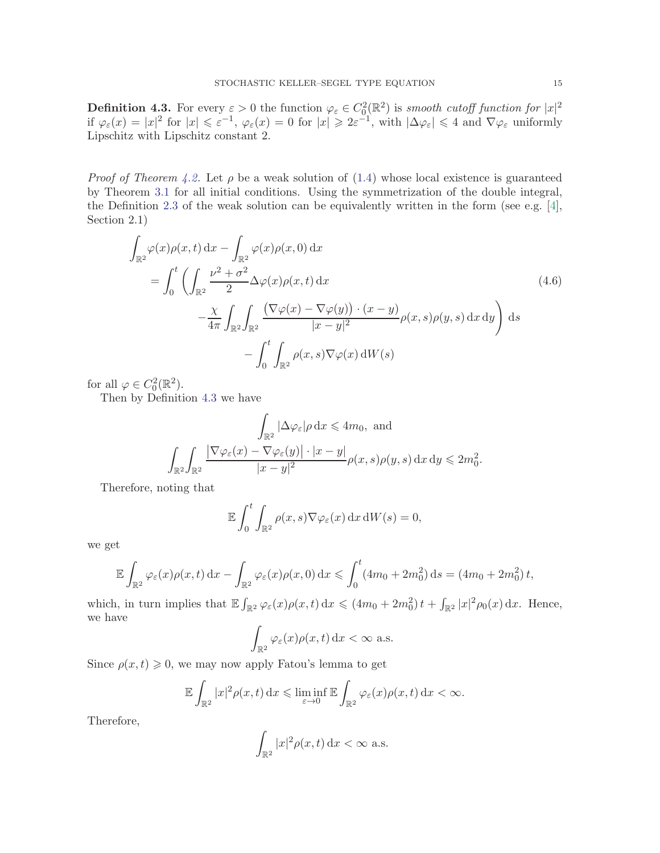<span id="page-14-0"></span>**Definition 4.3.** For every  $\varepsilon > 0$  the function  $\varphi_{\varepsilon} \in C_0^2(\mathbb{R}^2)$  is smooth cutoff function for  $|x|^2$ if  $\varphi_{\varepsilon}(x) = |x|^2$  for  $|x| \leq \varepsilon^{-1}$ ,  $\varphi_{\varepsilon}(x) = 0$  for  $|x| \geq 2\varepsilon^{-1}$ , with  $|\Delta \varphi_{\varepsilon}| \leq 4$  and  $\nabla \varphi_{\varepsilon}$  uniformly Lipschitz with Lipschitz constant 2.

*Proof of Theorem [4.2.](#page-13-2)* Let  $\rho$  be a weak solution of [\(1.4\)](#page-2-1) whose local existence is guaranteed by Theorem [3.1](#page-5-1) for all initial conditions. Using the symmetrization of the double integral, the Definition [2.3](#page-4-3) of the weak solution can be equivalently written in the form (see e.g.  $[4]$ , Section 2.1)

$$
\int_{\mathbb{R}^2} \varphi(x)\rho(x,t) dx - \int_{\mathbb{R}^2} \varphi(x)\rho(x,0) dx
$$
\n
$$
= \int_0^t \left( \int_{\mathbb{R}^2} \frac{\nu^2 + \sigma^2}{2} \Delta \varphi(x)\rho(x,t) dx - \frac{\chi}{4\pi} \int_{\mathbb{R}^2} \int_{\mathbb{R}^2} \frac{(\nabla \varphi(x) - \nabla \varphi(y)) \cdot (x - y)}{|x - y|^2} \rho(x,s)\rho(y,s) dx dy \right) ds
$$
\n
$$
- \int_0^t \int_{\mathbb{R}^2} \rho(x,s)\nabla \varphi(x) dW(s)
$$
\n(4.6)

for all  $\varphi \in C_0^2(\mathbb{R}^2)$ .

Then by Definition [4.3](#page-14-0) we have

$$
\int_{\mathbb{R}^2} |\Delta \varphi_{\varepsilon}| \rho \, dx \le 4m_0, \text{ and}
$$

$$
\int_{\mathbb{R}^2} \int_{\mathbb{R}^2} \frac{|\nabla \varphi_{\varepsilon}(x) - \nabla \varphi_{\varepsilon}(y)| \cdot |x - y|}{|x - y|^2} \rho(x, s) \rho(y, s) \, dx \, dy \le 2m_0^2.
$$

Therefore, noting that

<span id="page-14-1"></span>
$$
\mathbb{E}\int_0^t \int_{\mathbb{R}^2} \rho(x,s)\nabla \varphi_{\varepsilon}(x) dx dW(s) = 0,
$$

we get

$$
\mathbb{E}\int_{\mathbb{R}^2} \varphi_{\varepsilon}(x)\rho(x,t) dx - \int_{\mathbb{R}^2} \varphi_{\varepsilon}(x)\rho(x,0) dx \leqslant \int_0^t (4m_0 + 2m_0^2) ds = (4m_0 + 2m_0^2)t,
$$

which, in turn implies that  $\mathbb{E}\int_{\mathbb{R}^2} \varphi_{\varepsilon}(x)\rho(x,t) dx \leq (4m_0 + 2m_0^2)t + \int_{\mathbb{R}^2}|x|^2\rho_0(x) dx$ . Hence, we have

$$
\int_{\mathbb{R}^2} \varphi_{\varepsilon}(x) \rho(x,t) \, \mathrm{d}x < \infty \text{ a.s.}
$$

Since  $\rho(x, t) \geq 0$ , we may now apply Fatou's lemma to get

$$
\mathbb{E}\int_{\mathbb{R}^2}|x|^2\rho(x,t)\,\mathrm{d}x \leqslant \liminf_{\varepsilon\to 0}\mathbb{E}\int_{\mathbb{R}^2}\varphi_{\varepsilon}(x)\rho(x,t)\,\mathrm{d}x < \infty.
$$

Therefore,

$$
\int_{\mathbb{R}^2} |x|^2 \rho(x, t) \, \mathrm{d}x < \infty \text{ a.s.}
$$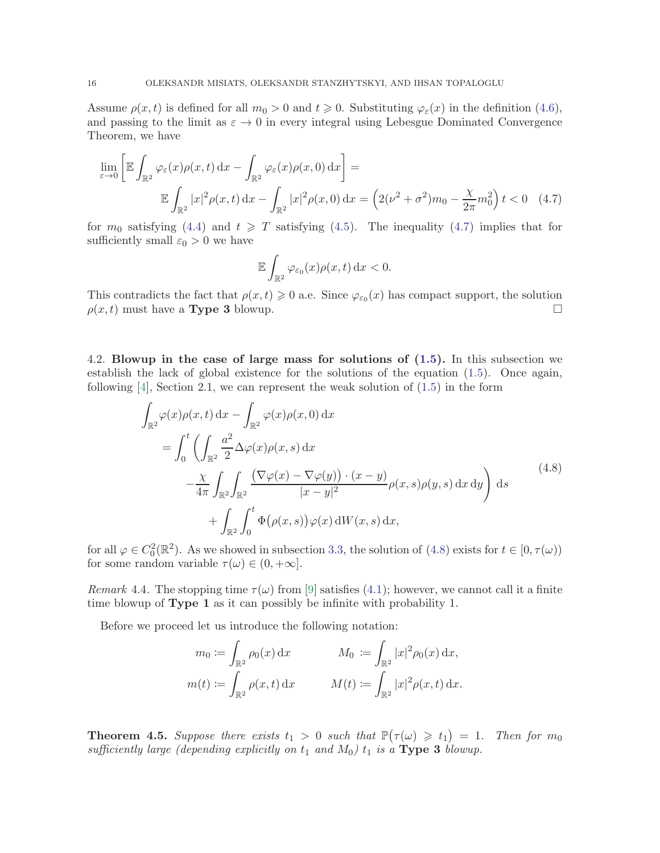Assume  $\rho(x, t)$  is defined for all  $m_0 > 0$  and  $t \geq 0$ . Substituting  $\varphi_{\varepsilon}(x)$  in the definition [\(4.6\)](#page-14-1), and passing to the limit as  $\varepsilon \to 0$  in every integral using Lebesgue Dominated Convergence Theorem, we have

$$
\lim_{\varepsilon \to 0} \left[ \mathbb{E} \int_{\mathbb{R}^2} \varphi_{\varepsilon}(x) \rho(x, t) dx - \int_{\mathbb{R}^2} \varphi_{\varepsilon}(x) \rho(x, 0) dx \right] =
$$

$$
\mathbb{E} \int_{\mathbb{R}^2} |x|^2 \rho(x, t) dx - \int_{\mathbb{R}^2} |x|^2 \rho(x, 0) dx = \left( 2(\nu^2 + \sigma^2) m_0 - \frac{\chi}{2\pi} m_0^2 \right) t < 0 \quad (4.7)
$$

for  $m_0$  satisfying [\(4.4\)](#page-13-3) and  $t \geq T$  satisfying [\(4.5\)](#page-13-4). The inequality [\(4.7\)](#page-15-1) implies that for sufficiently small  $\varepsilon_0 > 0$  we have

<span id="page-15-1"></span>
$$
\mathbb{E}\int_{\mathbb{R}^2}\varphi_{\varepsilon_0}(x)\rho(x,t)\,\mathrm{d}x<0.
$$

This contradicts the fact that  $\rho(x,t) \geq 0$  a.e. Since  $\varphi_{\varepsilon_0}(x)$  has compact support, the solution  $\rho(x, t)$  must have a **Type 3** blowup.

4.2. Blowup in the case of large mass for solutions of [\(1.5\)](#page-2-0). In this subsection we establish the lack of global existence for the solutions of the equation [\(1.5\)](#page-2-0). Once again, following  $[4]$ , Section 2.1, we can represent the weak solution of  $(1.5)$  in the form

<span id="page-15-2"></span>
$$
\int_{\mathbb{R}^2} \varphi(x)\rho(x,t) dx - \int_{\mathbb{R}^2} \varphi(x)\rho(x,0) dx
$$
\n
$$
= \int_0^t \left( \int_{\mathbb{R}^2} \frac{a^2}{2} \Delta \varphi(x)\rho(x,s) dx - \frac{\chi}{4\pi} \int_{\mathbb{R}^2} \int_{\mathbb{R}^2} \frac{\left(\nabla \varphi(x) - \nabla \varphi(y)\right) \cdot (x-y)}{|x-y|^2} \rho(x,s)\rho(y,s) dx dy \right) ds
$$
\n
$$
+ \int_{\mathbb{R}^2} \int_0^t \Phi(\rho(x,s)) \varphi(x) dW(x,s) dx,
$$
\n(4.8)

for all  $\varphi \in C_0^2(\mathbb{R}^2)$ . As we showed in subsection [3.3,](#page-11-0) the solution of [\(4.8\)](#page-15-2) exists for  $t \in [0, \tau(\omega))$ for some random variable  $\tau(\omega) \in (0, +\infty]$ .

*Remark* 4.4. The stopping time  $\tau(\omega)$  from [\[9\]](#page-24-17) satisfies [\(4.1\)](#page-13-5); however, we cannot call it a finite time blowup of Type 1 as it can possibly be infinite with probability 1.

Before we proceed let us introduce the following notation:

$$
m_0 := \int_{\mathbb{R}^2} \rho_0(x) dx \qquad \qquad M_0 := \int_{\mathbb{R}^2} |x|^2 \rho_0(x) dx,
$$
  

$$
m(t) := \int_{\mathbb{R}^2} \rho(x, t) dx \qquad \qquad M(t) := \int_{\mathbb{R}^2} |x|^2 \rho(x, t) dx.
$$

<span id="page-15-0"></span>**Theorem 4.5.** Suppose there exists  $t_1 > 0$  such that  $\mathbb{P}(\tau(\omega) \geq t_1) = 1$ . Then for  $m_0$ sufficiently large (depending explicitly on  $t_1$  and  $M_0$ )  $t_1$  is a Type 3 blowup.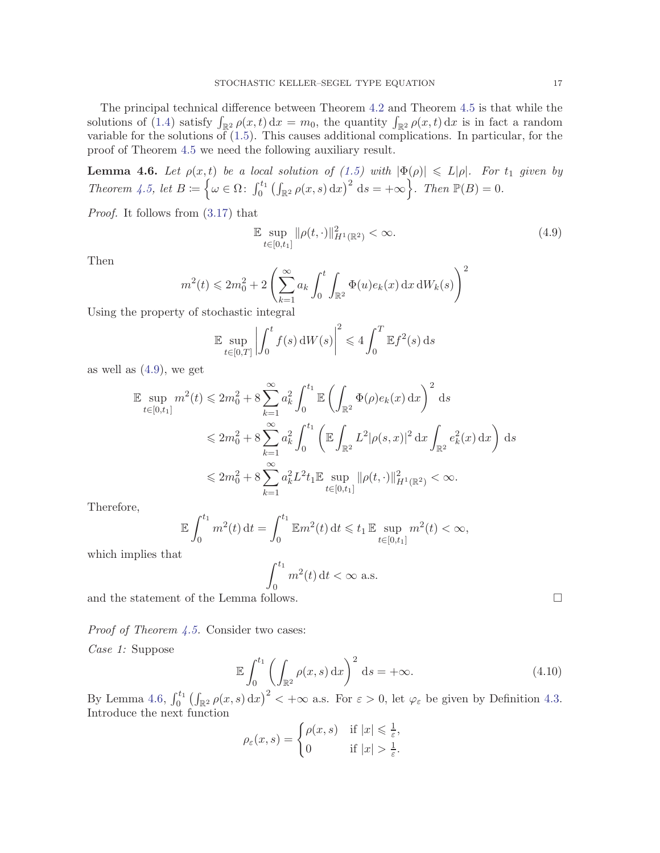The principal technical difference between Theorem [4.2](#page-13-2) and Theorem [4.5](#page-15-0) is that while the solutions of [\(1.4\)](#page-2-1) satisfy  $\int_{\mathbb{R}^2} \rho(x,t) dx = m_0$ , the quantity  $\int_{\mathbb{R}^2} \rho(x,t) dx$  is in fact a random variable for the solutions of  $(1.5)$ . This causes additional complications. In particular, for the proof of Theorem [4.5](#page-15-0) we need the following auxiliary result.

<span id="page-16-1"></span>**Lemma 4.6.** Let  $\rho(x,t)$  be a local solution of [\(1.5\)](#page-2-0) with  $|\Phi(\rho)| \le L|\rho|$ . For  $t_1$  given by Theorem [4.5,](#page-15-0) let  $B := \left\{ \omega \in \Omega : \int_0^{t_1} \left( \int_{\mathbb{R}^2} \rho(x, s) dx \right)^2 ds = +\infty \right\}$ . Then  $\mathbb{P}(B) = 0$ .

Proof. It follows from [\(3.17\)](#page-11-6) that

<span id="page-16-0"></span>
$$
\mathbb{E} \sup_{t \in [0,t_1]} \|\rho(t, \cdot)\|_{H^1(\mathbb{R}^2)}^2 < \infty. \tag{4.9}
$$

Then

$$
m^2(t) \leqslant 2m_0^2 + 2\left(\sum_{k=1}^\infty a_k \int_0^t \int_{\mathbb{R}^2} \Phi(u)e_k(x)\,\mathrm{d} x\,\mathrm{d} W_k(s)\right)^2
$$

Using the property of stochastic integral

$$
\mathbb{E}\sup_{t\in[0,T]}\left|\int_0^t f(s)\,\mathrm{d}W(s)\right|^2 \leq 4\int_0^T \mathbb{E}f^2(s)\,\mathrm{d}s
$$

as well as  $(4.9)$ , we get

$$
\mathbb{E} \sup_{t \in [0, t_1]} m^2(t) \leq 2m_0^2 + 8 \sum_{k=1}^{\infty} a_k^2 \int_0^{t_1} \mathbb{E} \left( \int_{\mathbb{R}^2} \Phi(\rho) e_k(x) dx \right)^2 ds
$$
  

$$
\leq 2m_0^2 + 8 \sum_{k=1}^{\infty} a_k^2 \int_0^{t_1} \left( \mathbb{E} \int_{\mathbb{R}^2} L^2 |\rho(s, x)|^2 dx \int_{\mathbb{R}^2} e_k^2(x) dx \right) ds
$$
  

$$
\leq 2m_0^2 + 8 \sum_{k=1}^{\infty} a_k^2 L^2 t_1 \mathbb{E} \sup_{t \in [0, t_1]} ||\rho(t, \cdot)||_{H^1(\mathbb{R}^2)}^2 < \infty.
$$

Therefore,

$$
\mathbb{E} \int_0^{t_1} m^2(t) dt = \int_0^{t_1} \mathbb{E} m^2(t) dt \leq t_1 \mathbb{E} \sup_{t \in [0, t_1]} m^2(t) < \infty,
$$

which implies that

$$
\int_0^{t_1} m^2(t) dt < \infty \text{ a.s.}
$$

and the statement of the Lemma follows.  $\hfill \square$ 

Proof of Theorem [4.5.](#page-15-0) Consider two cases:

Case 1: Suppose

<span id="page-16-2"></span>
$$
\mathbb{E}\int_0^{t_1} \left(\int_{\mathbb{R}^2} \rho(x,s) \,dx\right)^2 \,ds = +\infty. \tag{4.10}
$$

By Lemma [4.6,](#page-16-1)  $\int_0^{t_1} \left( \int_{\mathbb{R}^2} \rho(x, s) dx \right)^2 < +\infty$  a.s. For  $\varepsilon > 0$ , let  $\varphi_{\varepsilon}$  be given by Definition [4.3.](#page-14-0) Introduce the next function

$$
\rho_{\varepsilon}(x,s) = \begin{cases} \rho(x,s) & \text{if } |x| \leq \frac{1}{\varepsilon}, \\ 0 & \text{if } |x| > \frac{1}{\varepsilon}. \end{cases}
$$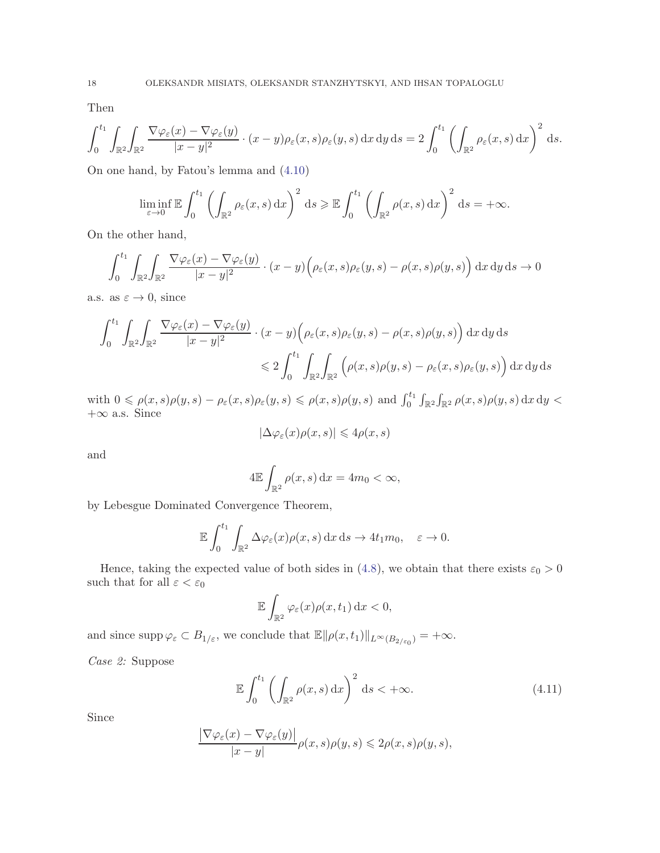Then

$$
\int_0^{t_1} \int_{\mathbb{R}^2} \int_{\mathbb{R}^2} \frac{\nabla \varphi_{\varepsilon}(x) - \nabla \varphi_{\varepsilon}(y)}{|x - y|^2} \cdot (x - y) \rho_{\varepsilon}(x, s) \rho_{\varepsilon}(y, s) \, dx \, dy \, ds = 2 \int_0^{t_1} \left( \int_{\mathbb{R}^2} \rho_{\varepsilon}(x, s) \, dx \right)^2 \, ds.
$$

On one hand, by Fatou's lemma and [\(4.10\)](#page-16-2)

$$
\liminf_{\varepsilon \to 0} \mathbb{E} \int_0^{t_1} \left( \int_{\mathbb{R}^2} \rho_{\varepsilon}(x, s) \, dx \right)^2 ds \geq \mathbb{E} \int_0^{t_1} \left( \int_{\mathbb{R}^2} \rho(x, s) \, dx \right)^2 ds = +\infty.
$$

On the other hand,

$$
\int_0^{t_1} \int_{\mathbb{R}^2} \int_{\mathbb{R}^2} \frac{\nabla \varphi_{\varepsilon}(x) - \nabla \varphi_{\varepsilon}(y)}{|x - y|^2} \cdot (x - y) \left( \rho_{\varepsilon}(x, s) \rho_{\varepsilon}(y, s) - \rho(x, s) \rho(y, s) \right) dx dy ds \to 0
$$

a.s. as  $\varepsilon \to 0$ , since

$$
\int_0^{t_1} \int_{\mathbb{R}^2} \int_{\mathbb{R}^2} \frac{\nabla \varphi_{\varepsilon}(x) - \nabla \varphi_{\varepsilon}(y)}{|x - y|^2} \cdot (x - y) \left( \rho_{\varepsilon}(x, s) \rho_{\varepsilon}(y, s) - \rho(x, s) \rho(y, s) \right) dx dy ds
$$
  

$$
\leq 2 \int_0^{t_1} \int_{\mathbb{R}^2} \int_{\mathbb{R}^2} \left( \rho(x, s) \rho(y, s) - \rho_{\varepsilon}(x, s) \rho_{\varepsilon}(y, s) \right) dx dy ds
$$

with  $0 \leq \rho(x, s)\rho(y, s) - \rho_{\varepsilon}(x, s)\rho_{\varepsilon}(y, s) \leq \rho(x, s)\rho(y, s)$  and  $\int_0^{t_1} \int_{\mathbb{R}^2} \int_{\mathbb{R}^2} \rho(x, s)\rho(y, s) dx dy$  $+\infty$  a.s. Since

$$
|\Delta \varphi_{\varepsilon}(x)\rho(x,s)| \leq 4\rho(x,s)
$$

and

$$
4\mathbb{E}\int_{\mathbb{R}^2} \rho(x,s) \, \mathrm{d}x = 4m_0 < \infty,
$$

by Lebesgue Dominated Convergence Theorem,

$$
\mathbb{E}\int_0^{t_1}\int_{\mathbb{R}^2}\Delta\varphi_{\varepsilon}(x)\rho(x,s)\,\mathrm{d}x\,\mathrm{d}s\to 4t_1m_0,\quad \varepsilon\to 0.
$$

Hence, taking the expected value of both sides in [\(4.8\)](#page-15-2), we obtain that there exists  $\varepsilon_0 > 0$ such that for all  $\varepsilon < \varepsilon_0$ 

$$
\mathbb{E}\int_{\mathbb{R}^2}\varphi_{\varepsilon}(x)\rho(x,t_1)\,\mathrm{d}x<0,
$$

and since  $\text{supp}\,\varphi_{\varepsilon} \subset B_{1/\varepsilon}$ , we conclude that  $\mathbb{E} \|\rho(x, t_1)\|_{L^{\infty}(B_{2/\varepsilon_0})} = +\infty$ .

Case 2: Suppose

<span id="page-17-0"></span>
$$
\mathbb{E}\int_0^{t_1} \left(\int_{\mathbb{R}^2} \rho(x,s) \,dx\right)^2 ds < +\infty. \tag{4.11}
$$

Since

$$
\frac{\left|\nabla\varphi_{\varepsilon}(x)-\nabla\varphi_{\varepsilon}(y)\right|}{|x-y|}\rho(x,s)\rho(y,s)\leq 2\rho(x,s)\rho(y,s),
$$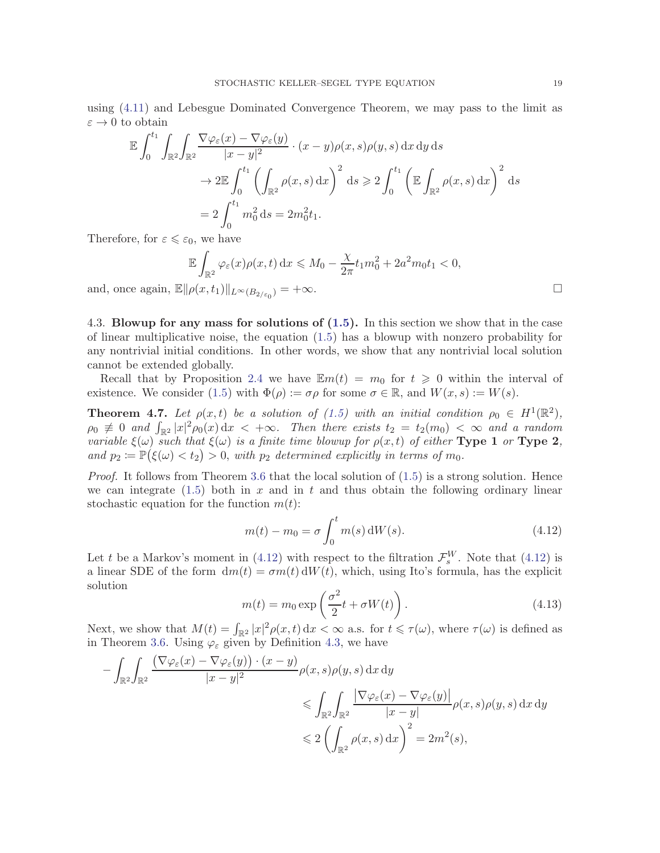using [\(4.11\)](#page-17-0) and Lebesgue Dominated Convergence Theorem, we may pass to the limit as  $\varepsilon \to 0$  to obtain

$$
\mathbb{E} \int_0^{t_1} \int_{\mathbb{R}^2} \int_{\mathbb{R}^2} \frac{\nabla \varphi_{\varepsilon}(x) - \nabla \varphi_{\varepsilon}(y)}{|x - y|^2} \cdot (x - y) \rho(x, s) \rho(y, s) \, dx \, dy \, ds
$$
  
\n
$$
\to 2 \mathbb{E} \int_0^{t_1} \left( \int_{\mathbb{R}^2} \rho(x, s) \, dx \right)^2 \, ds \ge 2 \int_0^{t_1} \left( \mathbb{E} \int_{\mathbb{R}^2} \rho(x, s) \, dx \right)^2 \, ds
$$
  
\n
$$
= 2 \int_0^{t_1} m_0^2 \, ds = 2m_0^2 t_1.
$$

Therefore, for  $\varepsilon \leqslant \varepsilon_0$ , we have

$$
\mathbb{E} \int_{\mathbb{R}^2} \varphi_{\varepsilon}(x) \rho(x,t) dx \leq M_0 - \frac{\chi}{2\pi} t_1 m_0^2 + 2a^2 m_0 t_1 < 0,
$$
  

$$
\|\rho(x,t_1)\|_{L^{\infty}(B_{2/\varepsilon_0})} = +\infty.
$$

and, once again,  $\mathbb{E}\|\rho(x,t_1)\|_{L^\infty(B_{2/\varepsilon_0})}$ 

<span id="page-18-0"></span>4.3. Blowup for any mass for solutions of [\(1.5\)](#page-2-0). In this section we show that in the case of linear multiplicative noise, the equation [\(1.5\)](#page-2-0) has a blowup with nonzero probability for any nontrivial initial conditions. In other words, we show that any nontrivial local solution cannot be extended globally.

Recall that by Proposition [2.4](#page-4-2) we have  $\mathbb{E}m(t) = m_0$  for  $t \geq 0$  within the interval of existence. We consider [\(1.5\)](#page-2-0) with  $\Phi(\rho) := \sigma \rho$  for some  $\sigma \in \mathbb{R}$ , and  $W(x, s) := W(s)$ .

**Theorem 4.7.** Let  $\rho(x,t)$  be a solution of [\(1.5\)](#page-2-0) with an initial condition  $\rho_0 \in H^1(\mathbb{R}^2)$ ,  $\rho_0 \neq 0$  and  $\int_{\mathbb{R}^2} |x|^2 \rho_0(x) dx < +\infty$ . Then there exists  $t_2 = t_2(m_0) < \infty$  and a random variable  $\xi(\omega)$  such that  $\xi(\omega)$  is a finite time blowup for  $\rho(x,t)$  of either **Type 1** or **Type 2**, and  $p_2 := \mathbb{P}(\xi(\omega) < t_2) > 0$ , with  $p_2$  determined explicitly in terms of  $m_0$ .

*Proof.* It follows from Theorem [3.6](#page-12-0) that the local solution of  $(1.5)$  is a strong solution. Hence we can integrate  $(1.5)$  both in x and in t and thus obtain the following ordinary linear stochastic equation for the function  $m(t)$ :

<span id="page-18-1"></span>
$$
m(t) - m_0 = \sigma \int_0^t m(s) \, dW(s).
$$
 (4.12)

Let t be a Markov's moment in [\(4.12\)](#page-18-1) with respect to the filtration  $\mathcal{F}_{s}^{W}$ . Note that (4.12) is a linear SDE of the form  $dm(t) = \sigma m(t) dW(t)$ , which, using Ito's formula, has the explicit solution

<span id="page-18-2"></span>
$$
m(t) = m_0 \exp\left(\frac{\sigma^2}{2}t + \sigma W(t)\right). \tag{4.13}
$$

Next, we show that  $M(t) = \int_{\mathbb{R}^2} |x|^2 \rho(x, t) dx < \infty$  a.s. for  $t \leq \tau(\omega)$ , where  $\tau(\omega)$  is defined as in Theorem [3.6.](#page-12-0) Using  $\varphi_{\varepsilon}$  given by Definition [4.3,](#page-14-0) we have

$$
-\int_{\mathbb{R}^2} \int_{\mathbb{R}^2} \frac{\left(\nabla \varphi_{\varepsilon}(x) - \nabla \varphi_{\varepsilon}(y)\right) \cdot (x - y)}{|x - y|^2} \rho(x, s) \rho(y, s) \, dx \, dy
$$
  
\$\leqslant \int\_{\mathbb{R}^2} \int\_{\mathbb{R}^2} \frac{\left|\nabla \varphi\_{\varepsilon}(x) - \nabla \varphi\_{\varepsilon}(y)\right|}{|x - y|} \rho(x, s) \rho(y, s) \, dx \, dy\$  
\$\leqslant 2 \left(\int\_{\mathbb{R}^2} \rho(x, s) \, dx\right)^2 = 2m^2(s),\$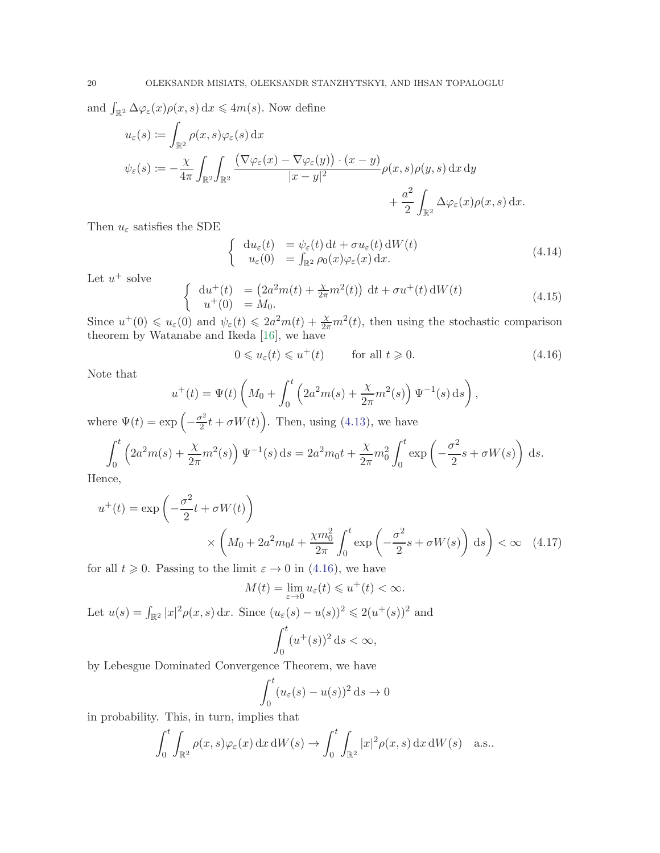and  $\int_{\mathbb{R}^2} \Delta \varphi_{\varepsilon}(x) \rho(x, s) dx \leq 4m(s)$ . Now define

$$
u_{\varepsilon}(s) := \int_{\mathbb{R}^2} \rho(x, s) \varphi_{\varepsilon}(s) dx
$$
  

$$
\psi_{\varepsilon}(s) := -\frac{\chi}{4\pi} \int_{\mathbb{R}^2} \int_{\mathbb{R}^2} \frac{\left(\nabla \varphi_{\varepsilon}(x) - \nabla \varphi_{\varepsilon}(y)\right) \cdot (x - y)}{|x - y|^2} \rho(x, s) \rho(y, s) dx dy
$$
  

$$
+ \frac{a^2}{2} \int_{\mathbb{R}^2} \Delta \varphi_{\varepsilon}(x) \rho(x, s) dx.
$$

Then  $u_{\varepsilon}$  satisfies the SDE

$$
\begin{cases}\n\mathrm{d}u_{\varepsilon}(t) = \psi_{\varepsilon}(t) \, \mathrm{d}t + \sigma u_{\varepsilon}(t) \, \mathrm{d}W(t) \\
u_{\varepsilon}(0) = \int_{\mathbb{R}^2} \rho_0(x) \varphi_{\varepsilon}(x) \, \mathrm{d}x.\n\end{cases} \tag{4.14}
$$

Let  $u^+$  solve

$$
\begin{cases}\n\mathrm{d}u^{+}(t) = (2a^{2}m(t) + \frac{\chi}{2\pi}m^{2}(t)) \, \mathrm{d}t + \sigma u^{+}(t) \, \mathrm{d}W(t) \\
u^{+}(0) = M_{0}.\n\end{cases}
$$
\n(4.15)

Since  $u^+(0) \leq u_\varepsilon(0)$  and  $\psi_\varepsilon(t) \leq 2a^2m(t) + \frac{\chi}{2\pi}m^2(t)$ , then using the stochastic comparison theorem by Watanabe and Ikeda [\[16\]](#page-24-19), we have

<span id="page-19-0"></span>
$$
0 \leqslant u_{\varepsilon}(t) \leqslant u^{+}(t) \qquad \text{for all } t \geqslant 0. \tag{4.16}
$$

Note that

$$
u^{+}(t) = \Psi(t) \left( M_0 + \int_0^t \left( 2a^2 m(s) + \frac{\chi}{2\pi} m^2(s) \right) \Psi^{-1}(s) ds \right),
$$

where  $\Psi(t) = \exp\left(-\frac{\sigma^2}{2}\right)$  $\left(\frac{\sigma^2}{2}t + \sigma W(t)\right)$ . Then, using [\(4.13\)](#page-18-2), we have

$$
\int_0^t \left(2a^2 m(s) + \frac{\chi}{2\pi} m^2(s)\right) \Psi^{-1}(s) ds = 2a^2 m_0 t + \frac{\chi}{2\pi} m_0^2 \int_0^t \exp\left(-\frac{\sigma^2}{2}s + \sigma W(s)\right) ds.
$$

Hence,

$$
u^{+}(t) = \exp\left(-\frac{\sigma^{2}}{2}t + \sigma W(t)\right)
$$

$$
\times \left(M_{0} + 2a^{2}m_{0}t + \frac{\chi m_{0}^{2}}{2\pi} \int_{0}^{t} \exp\left(-\frac{\sigma^{2}}{2}s + \sigma W(s)\right) ds\right) < \infty \quad (4.17)
$$

for all  $t \geq 0$ . Passing to the limit  $\varepsilon \to 0$  in [\(4.16\)](#page-19-0), we have

$$
M(t) = \lim_{\varepsilon \to 0} u_{\varepsilon}(t) \leq u^+(t) < \infty.
$$

Let  $u(s) = \int_{\mathbb{R}^2} |x|^2 \rho(x, s) dx$ . Since  $(u_\varepsilon(s) - u(s))^2 \leq 2(u^+(s))^2$  and  $\int_0^t$  $\mathbf{0}$  $(u^+(s))^2 ds < \infty,$ 

by Lebesgue Dominated Convergence Theorem, we have

$$
\int_0^t (u_\varepsilon(s) - u(s))^2 \, \mathrm{d}s \to 0
$$

in probability. This, in turn, implies that

$$
\int_0^t \int_{\mathbb{R}^2} \rho(x, s) \varphi_{\varepsilon}(x) dx dW(s) \to \int_0^t \int_{\mathbb{R}^2} |x|^2 \rho(x, s) dx dW(s) \quad \text{a.s.}.
$$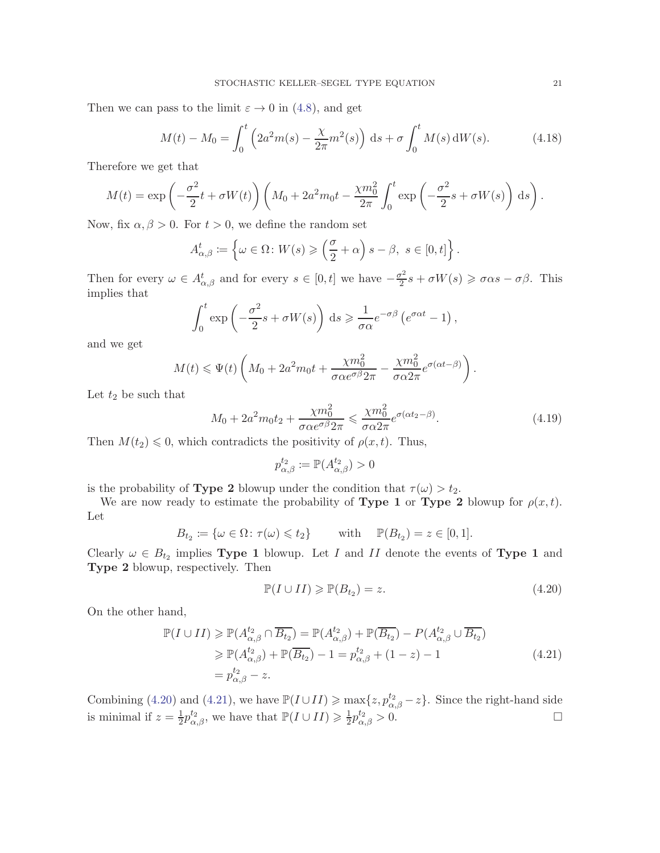Then we can pass to the limit  $\varepsilon \to 0$  in [\(4.8\)](#page-15-2), and get

$$
M(t) - M_0 = \int_0^t \left(2a^2 m(s) - \frac{\chi}{2\pi} m^2(s)\right) ds + \sigma \int_0^t M(s) dW(s).
$$
 (4.18)

Therefore we get that

$$
M(t) = \exp\left(-\frac{\sigma^2}{2}t + \sigma W(t)\right) \left(M_0 + 2a^2m_0t - \frac{\chi m_0^2}{2\pi} \int_0^t \exp\left(-\frac{\sigma^2}{2}s + \sigma W(s)\right) ds\right).
$$

Now, fix  $\alpha, \beta > 0$ . For  $t > 0$ , we define the random set

$$
A_{\alpha,\beta}^t := \left\{ \omega \in \Omega \colon W(s) \geqslant \left( \frac{\sigma}{2} + \alpha \right) s - \beta, \ s \in [0, t] \right\}.
$$

Then for every  $\omega \in A^t_{\alpha,\beta}$  and for every  $s \in [0,t]$  we have  $-\frac{\sigma^2}{2}$  $\frac{\sigma^2}{2}s + \sigma W(s) \geqslant \sigma \alpha s - \sigma \beta$ . This implies that

$$
\int_0^t \exp\left(-\frac{\sigma^2}{2}s + \sigma W(s)\right) ds \geq \frac{1}{\sigma \alpha} e^{-\sigma \beta} \left(e^{\sigma \alpha t} - 1\right),
$$

and we get

$$
M(t) \leq \Psi(t) \left( M_0 + 2a^2 m_0 t + \frac{\chi m_0^2}{\sigma \alpha e^{\sigma \beta} 2\pi} - \frac{\chi m_0^2}{\sigma \alpha 2\pi} e^{\sigma(\alpha t - \beta)} \right).
$$

Let  $t_2$  be such that

$$
M_0 + 2a^2 m_0 t_2 + \frac{\chi m_0^2}{\sigma \alpha e^{\sigma \beta} 2\pi} \leq \frac{\chi m_0^2}{\sigma \alpha 2\pi} e^{\sigma(\alpha t_2 - \beta)}.
$$
\n(4.19)

Then  $M(t_2) \leq 0$ , which contradicts the positivity of  $\rho(x, t)$ . Thus,

$$
p_{\alpha,\beta}^{t_2} \coloneqq \mathbb{P}(A_{\alpha,\beta}^{t_2}) > 0
$$

is the probability of **Type 2** blowup under the condition that  $\tau(\omega) > t_2$ .

We are now ready to estimate the probability of **Type 1** or **Type 2** blowup for  $\rho(x,t)$ . Let

$$
B_{t_2} \coloneqq \{ \omega \in \Omega \colon \tau(\omega) \leq t_2 \} \quad \text{with} \quad \mathbb{P}(B_{t_2}) = z \in [0, 1].
$$

Clearly  $\omega \in B_{t_2}$  implies **Type 1** blowup. Let I and II denote the events of **Type 1** and Type 2 blowup, respectively. Then

<span id="page-20-0"></span>
$$
\mathbb{P}(I \cup II) \geqslant \mathbb{P}(B_{t_2}) = z.
$$
\n(4.20)

On the other hand,

<span id="page-20-1"></span>
$$
\mathbb{P}(I \cup II) \geq \mathbb{P}(A_{\alpha,\beta}^{t_2} \cap \overline{B_{t_2}}) = \mathbb{P}(A_{\alpha,\beta}^{t_2}) + \mathbb{P}(\overline{B_{t_2}}) - P(A_{\alpha,\beta}^{t_2} \cup \overline{B_{t_2}})
$$
  
\n
$$
\geq \mathbb{P}(A_{\alpha,\beta}^{t_2}) + \mathbb{P}(\overline{B_{t_2}}) - 1 = p_{\alpha,\beta}^{t_2} + (1 - z) - 1
$$
  
\n
$$
= p_{\alpha,\beta}^{t_2} - z.
$$
\n(4.21)

Combining [\(4.20\)](#page-20-0) and [\(4.21\)](#page-20-1), we have  $\mathbb{P}(I \cup II) \ge \max\{z, p_{\alpha,\beta}^{t_2} - z\}$ . Since the right-hand side is minimal if  $z=\frac{1}{2}$  $\frac{1}{2}p_{\alpha,\beta}^{t_2}$ , we have that  $\mathbb{P}(I \cup II) \geq \frac{1}{2}$  $\frac{1}{2}p_{\alpha,\beta}^{t_2}>0.$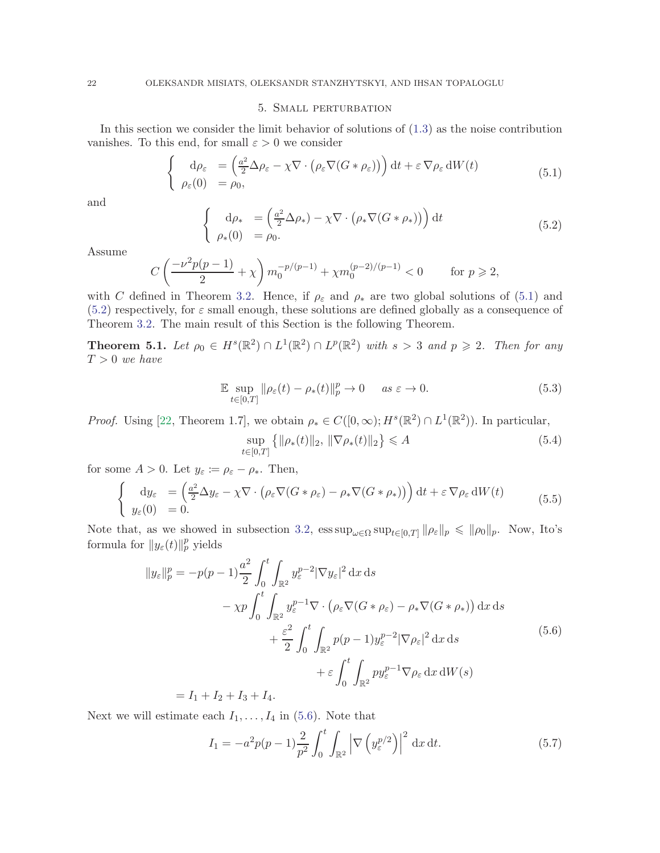## 5. Small perturbation

<span id="page-21-0"></span>In this section we consider the limit behavior of solutions of [\(1.3\)](#page-0-2) as the noise contribution vanishes. To this end, for small  $\varepsilon > 0$  we consider

<span id="page-21-2"></span>
$$
\begin{cases}\n\mathrm{d}\rho_{\varepsilon} = \left(\frac{a^2}{2}\Delta\rho_{\varepsilon} - \chi \nabla \cdot \left(\rho_{\varepsilon} \nabla (G * \rho_{\varepsilon})\right)\right) \mathrm{d}t + \varepsilon \nabla \rho_{\varepsilon} \mathrm{d}W(t) \\
\rho_{\varepsilon}(0) = \rho_{0},\n\end{cases} (5.1)
$$

and

<span id="page-21-1"></span>
$$
\begin{cases}\n\mathrm{d}\rho_* = \left(\frac{a^2}{2}\Delta\rho_*\right) - \chi \nabla \cdot \left(\rho_* \nabla (G * \rho_*)\right)\n\end{cases} \mathrm{d}t
$$
\n(5.2)\n  
\n
$$
\rho_*(0) = \rho_0.
$$

Assume

$$
C\left(\frac{-\nu^2 p(p-1)}{2} + \chi\right) m_0^{-p/(p-1)} + \chi m_0^{(p-2)/(p-1)} < 0 \quad \text{for } p \ge 2,
$$

with C defined in Theorem [3.2.](#page-9-0) Hence, if  $\rho_{\varepsilon}$  and  $\rho_{*}$  are two global solutions of [\(5.1\)](#page-21-2) and  $(5.2)$  respectively, for  $\varepsilon$  small enough, these solutions are defined globally as a consequence of Theorem [3.2.](#page-9-0) The main result of this Section is the following Theorem.

**Theorem 5.1.** Let  $\rho_0 \in H^s(\mathbb{R}^2) \cap L^1(\mathbb{R}^2) \cap L^p(\mathbb{R}^2)$  with  $s > 3$  and  $p \geq 2$ . Then for any  $T > 0$  we have

$$
\mathbb{E} \sup_{t \in [0,T]} \|\rho_{\varepsilon}(t) - \rho_{*}(t)\|_{p}^{p} \to 0 \quad \text{as } \varepsilon \to 0.
$$
\n(5.3)

*Proof.* Using [\[22,](#page-25-4) Theorem 1.7], we obtain  $\rho_* \in C([0,\infty); H^s(\mathbb{R}^2) \cap L^1(\mathbb{R}^2)$ . In particular,

<span id="page-21-4"></span>
$$
\sup_{t \in [0,T]} \left\{ \|\rho_*(t)\|_2, \|\nabla \rho_*(t)\|_2 \right\} \leqslant A \tag{5.4}
$$

for some  $A > 0$ . Let  $y_{\varepsilon} := \rho_{\varepsilon} - \rho_*$ . Then,

$$
\begin{cases}\n\mathrm{d}y_{\varepsilon} = \left(\frac{a^2}{2}\Delta y_{\varepsilon} - \chi \nabla \cdot \left(\rho_{\varepsilon} \nabla (G * \rho_{\varepsilon}) - \rho_{*} \nabla (G * \rho_{*})\right)\right) \mathrm{d}t + \varepsilon \nabla \rho_{\varepsilon} \mathrm{d}W(t) \\
y_{\varepsilon}(0) = 0.\n\end{cases} (5.5)
$$

Note that, as we showed in subsection [3.2,](#page-9-2)  $\operatorname{ess\,sup}_{\omega \in \Omega} \operatorname{sup}_{t \in [0,T]} ||\rho_{\varepsilon}||_p \leq ||\rho_0||_p$ . Now, Ito's formula for  $||y_\varepsilon(t)||_p^p$  yields

<span id="page-21-3"></span>
$$
||y_{\varepsilon}||_{p}^{p} = -p(p-1)\frac{a^{2}}{2} \int_{0}^{t} \int_{\mathbb{R}^{2}} y_{\varepsilon}^{p-2} |\nabla y_{\varepsilon}|^{2} dx ds
$$
  

$$
- \chi p \int_{0}^{t} \int_{\mathbb{R}^{2}} y_{\varepsilon}^{p-1} \nabla \cdot (\rho_{\varepsilon} \nabla (G * \rho_{\varepsilon}) - \rho_{*} \nabla (G * \rho_{*})) dx ds
$$
  

$$
+ \frac{\varepsilon^{2}}{2} \int_{0}^{t} \int_{\mathbb{R}^{2}} p(p-1) y_{\varepsilon}^{p-2} |\nabla \rho_{\varepsilon}|^{2} dx ds
$$
  

$$
+ \varepsilon \int_{0}^{t} \int_{\mathbb{R}^{2}} py_{\varepsilon}^{p-1} \nabla \rho_{\varepsilon} dx dW(s)
$$
  

$$
- L + L + L + L + L.
$$
 (1)

 $= I_1 + I_2 + I_3 + I_4.$ 

Next we will estimate each  $I_1, \ldots, I_4$  in [\(5.6\)](#page-21-3). Note that

<span id="page-21-5"></span>
$$
I_1 = -a^2 p(p-1) \frac{2}{p^2} \int_0^t \int_{\mathbb{R}^2} \left| \nabla \left( y_\varepsilon^{p/2} \right) \right|^2 dx \, \mathrm{d}t. \tag{5.7}
$$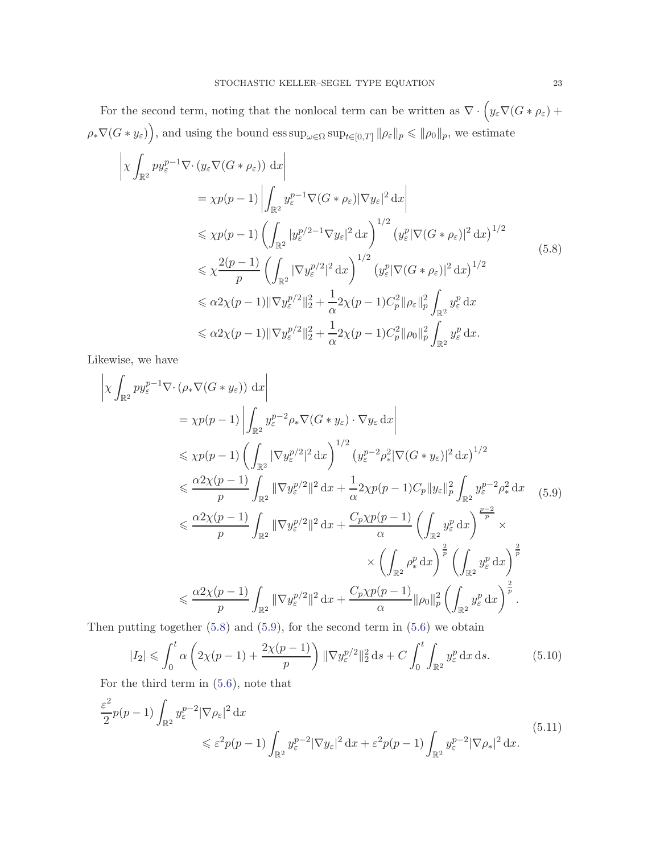For the second term, noting that the nonlocal term can be written as  $\nabla \cdot (y_\varepsilon \nabla (G * \rho_\varepsilon) +$  $\rho_* \nabla(G * y_\varepsilon)$ , and using the bound  $\operatorname{ess\,sup}_{\omega \in \Omega} \operatorname{sup}_{t \in [0,T]} \|\rho_\varepsilon\|_p \leqslant \|\rho_0\|_p$ , we estimate

<span id="page-22-0"></span>
$$
\begin{split}\n&\left|\chi \int_{\mathbb{R}^2} py_{\varepsilon}^{p-1} \nabla \cdot (y_{\varepsilon} \nabla (G * \rho_{\varepsilon})) \, \mathrm{d}x\right| \\
&= \chi p(p-1) \left| \int_{\mathbb{R}^2} y_{\varepsilon}^{p-1} \nabla (G * \rho_{\varepsilon}) |\nabla y_{\varepsilon}|^2 \, \mathrm{d}x \right| \\
&\leq \chi p(p-1) \left( \int_{\mathbb{R}^2} |y_{\varepsilon}^{p/2-1} \nabla y_{\varepsilon}|^2 \, \mathrm{d}x \right)^{1/2} \left( y_{\varepsilon}^p |\nabla (G * \rho_{\varepsilon})|^2 \, \mathrm{d}x \right)^{1/2} \\
&\leq \chi \frac{2(p-1)}{p} \left( \int_{\mathbb{R}^2} |\nabla y_{\varepsilon}^{p/2}|^2 \, \mathrm{d}x \right)^{1/2} \left( y_{\varepsilon}^p |\nabla (G * \rho_{\varepsilon})|^2 \, \mathrm{d}x \right)^{1/2} \\
&\leq \alpha 2\chi(p-1) \|\nabla y_{\varepsilon}^{p/2}\|_2^2 + \frac{1}{\alpha} 2\chi(p-1) C_p^2 \|\rho_{\varepsilon}\|_p^2 \int_{\mathbb{R}^2} y_{\varepsilon}^p \, \mathrm{d}x \\
&\leq \alpha 2\chi(p-1) \|\nabla y_{\varepsilon}^{p/2}\|_2^2 + \frac{1}{\alpha} 2\chi(p-1) C_p^2 \|\rho_0\|_p^2 \int_{\mathbb{R}^2} y_{\varepsilon}^p \, \mathrm{d}x.\n\end{split}
$$
\n(5.8)

Likewise, we have

<span id="page-22-1"></span>
$$
\begin{split}\n&\left|\chi \int_{\mathbb{R}^{2}} py_{\varepsilon}^{p-1} \nabla \cdot \left(\rho_{*} \nabla (G * y_{\varepsilon})\right) dx\right| \\
&= \chi p(p-1) \left| \int_{\mathbb{R}^{2}} y_{\varepsilon}^{p-2} \rho_{*} \nabla (G * y_{\varepsilon}) \cdot \nabla y_{\varepsilon} dx \right| \\
&\leq \chi p(p-1) \left( \int_{\mathbb{R}^{2}} |\nabla y_{\varepsilon}^{p/2}|^{2} dx \right)^{1/2} \left( y_{\varepsilon}^{p-2} \rho_{*}^{2} |\nabla (G * y_{\varepsilon})|^{2} dx \right)^{1/2} \\
&\leq \frac{\alpha 2 \chi(p-1)}{p} \int_{\mathbb{R}^{2}} |\nabla y_{\varepsilon}^{p/2}|^{2} dx + \frac{1}{\alpha} 2 \chi p(p-1) C_{p} \|y_{\varepsilon}\|_{p}^{2} \int_{\mathbb{R}^{2}} y_{\varepsilon}^{p-2} \rho_{*}^{2} dx \quad (5.9) \\
&\leq \frac{\alpha 2 \chi(p-1)}{p} \int_{\mathbb{R}^{2}} |\nabla y_{\varepsilon}^{p/2}|^{2} dx + \frac{C_{p} \chi p(p-1)}{\alpha} \left( \int_{\mathbb{R}^{2}} y_{\varepsilon}^{p} dx \right)^{\frac{p-2}{p}} \times \\
&\quad \times \left( \int_{\mathbb{R}^{2}} \rho_{*}^{p} dx \right)^{\frac{2}{p}} \left( \int_{\mathbb{R}^{2}} y_{\varepsilon}^{p} dx \right)^{\frac{2}{p}} \\
&\leq \frac{\alpha 2 \chi(p-1)}{p} \int_{\mathbb{R}^{2}} |\nabla y_{\varepsilon}^{p/2}|^{2} dx + \frac{C_{p} \chi p(p-1)}{\alpha} ||\rho_{0}||_{p}^{2} \left( \int_{\mathbb{R}^{2}} y_{\varepsilon}^{p} dx \right)^{\frac{2}{p}}.\n\end{split}
$$

Then putting together  $(5.8)$  and  $(5.9)$ , for the second term in  $(5.6)$  we obtain

<span id="page-22-2"></span>
$$
|I_2| \leq \int_0^t \alpha \left( 2\chi(p-1) + \frac{2\chi(p-1)}{p} \right) \|\nabla y_{\varepsilon}^{p/2}\|_2^2 ds + C \int_0^t \int_{\mathbb{R}^2} y_{\varepsilon}^p dx ds. \tag{5.10}
$$

For the third term in [\(5.6\)](#page-21-3), note that

$$
\frac{\varepsilon^2}{2}p(p-1)\int_{\mathbb{R}^2} y_{\varepsilon}^{p-2} |\nabla \rho_{\varepsilon}|^2 dx
$$
\n
$$
\leq \varepsilon^2 p(p-1)\int_{\mathbb{R}^2} y_{\varepsilon}^{p-2} |\nabla y_{\varepsilon}|^2 dx + \varepsilon^2 p(p-1)\int_{\mathbb{R}^2} y_{\varepsilon}^{p-2} |\nabla \rho_*|^2 dx.
$$
\n(5.11)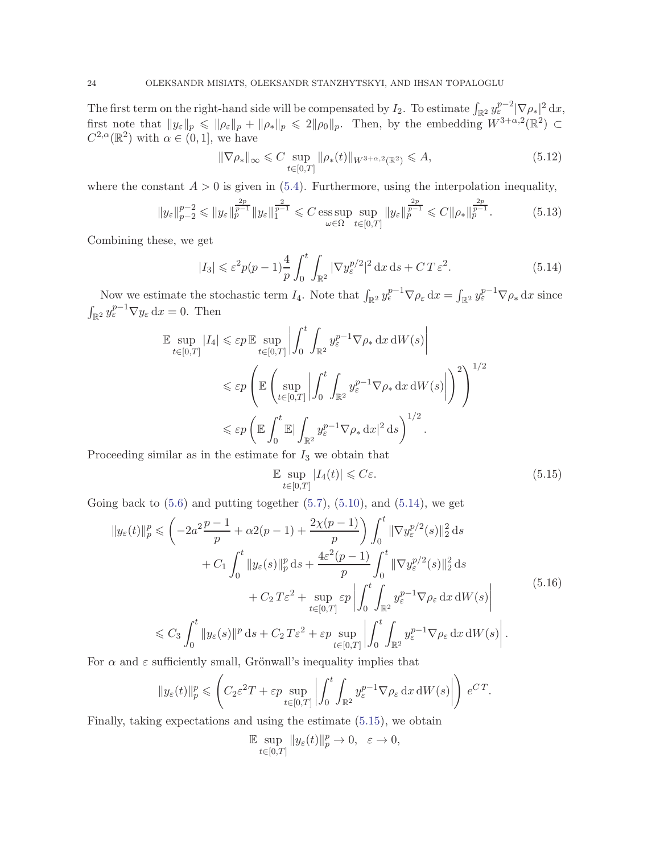The first term on the right-hand side will be compensated by  $I_2$ . To estimate  $\int_{\mathbb{R}^2} y_{\varepsilon}^{p-2} |\nabla \rho_*|^2 dx$ , first note that  $||y_{\varepsilon}||_p \le ||\rho_{\varepsilon}||_p + ||\rho_{*}||_p \le 2||\rho_0||_p$ . Then, by the embedding  $W^{3+\alpha,2}(\mathbb{R}^2) \subset$  $C^{2,\alpha}(\mathbb{R}^2)$  with  $\alpha \in (0,1]$ , we have

$$
\|\nabla \rho_*\|_{\infty} \leq C \sup_{t \in [0,T]} \|\rho_*(t)\|_{W^{3+\alpha,2}(\mathbb{R}^2)} \leqslant A,
$$
\n(5.12)

where the constant  $A > 0$  is given in [\(5.4\)](#page-21-4). Furthermore, using the interpolation inequality,

$$
||y_{\varepsilon}||_{p-2}^{p-2} \le ||y_{\varepsilon}||_{p}^{\frac{2p}{p-1}} ||y_{\varepsilon}||_{1}^{\frac{2}{p-1}} \le C \operatorname*{ess\,sup}_{\omega \in \Omega} \sup_{t \in [0,T]} ||y_{\varepsilon}||_{p}^{\frac{2p}{p-1}} \le C ||\rho_{*}||_{p}^{\frac{2p}{p-1}}.
$$
 (5.13)

Combining these, we get

<span id="page-23-0"></span>
$$
|I_3| \leq \varepsilon^2 p(p-1) \frac{4}{p} \int_0^t \int_{\mathbb{R}^2} |\nabla y_{\varepsilon}^{p/2}|^2 dx ds + CT \varepsilon^2.
$$
 (5.14)

Now we estimate the stochastic term  $I_4$ . Note that  $\int_{\mathbb{R}^2} y_{\epsilon}^{p-1} \nabla \rho_{\epsilon} dx = \int_{\mathbb{R}^2} y_{\epsilon}^{p-1} \nabla \rho_{\ast} dx$  since  $\int_{\mathbb{R}^2} y_{\varepsilon}^{p-1} \nabla y_{\varepsilon} \,dx = 0.$  Then

$$
\mathbb{E} \sup_{t \in [0,T]} |I_4| \leqslant \varepsilon p \mathbb{E} \sup_{t \in [0,T]} \left| \int_0^t \int_{\mathbb{R}^2} y_{\varepsilon}^{p-1} \nabla \rho_* \, dx \, dW(s) \right|
$$
  

$$
\leqslant \varepsilon p \left( \mathbb{E} \left( \sup_{t \in [0,T]} \left| \int_0^t \int_{\mathbb{R}^2} y_{\varepsilon}^{p-1} \nabla \rho_* \, dx \, dW(s) \right| \right)^2 \right)^{1/2}
$$
  

$$
\leqslant \varepsilon p \left( \mathbb{E} \int_0^t \mathbb{E} \left| \int_{\mathbb{R}^2} y_{\varepsilon}^{p-1} \nabla \rho_* \, dx \right|^{2} ds \right)^{1/2}.
$$

Proceeding similar as in the estimate for  $I_3$  we obtain that

<span id="page-23-1"></span>
$$
\mathbb{E} \sup_{t \in [0,T]} |I_4(t)| \leqslant C\varepsilon. \tag{5.15}
$$

Going back to  $(5.6)$  and putting together  $(5.7)$ ,  $(5.10)$ , and  $(5.14)$ , we get

$$
||y_{\varepsilon}(t)||_{p}^{p} \leqslant \left(-2a^{2}\frac{p-1}{p} + \alpha 2(p-1) + \frac{2\chi(p-1)}{p}\right) \int_{0}^{t} ||\nabla y_{\varepsilon}^{p/2}(s)||_{2}^{2} ds + C_{1} \int_{0}^{t} ||y_{\varepsilon}(s)||_{p}^{p} ds + \frac{4\varepsilon^{2}(p-1)}{p} \int_{0}^{t} ||\nabla y_{\varepsilon}^{p/2}(s)||_{2}^{2} ds + C_{2} T \varepsilon^{2} + \sup_{t \in [0,T]} \varepsilon p \left| \int_{0}^{t} \int_{\mathbb{R}^{2}} y_{\varepsilon}^{p-1} \nabla \rho_{\varepsilon} dx dW(s) \right| \leqslant C_{3} \int_{0}^{t} ||y_{\varepsilon}(s)||^{p} ds + C_{2} T \varepsilon^{2} + \varepsilon p \sup_{t \in [0,T]} \left| \int_{0}^{t} \int_{\mathbb{R}^{2}} y_{\varepsilon}^{p-1} \nabla \rho_{\varepsilon} dx dW(s) \right|.
$$
\n
$$
(5.16)
$$

For  $\alpha$  and  $\varepsilon$  sufficiently small, Grönwall's inequality implies that

$$
\|y_\varepsilon(t)\|_p^p\leqslant \left(C_2\varepsilon^2 T+\varepsilon p\sup_{t\in[0,T]}\left|\int_0^t\int_{\mathbb{R}^2}y_\varepsilon^{p-1}\nabla\rho_\varepsilon\,\mathrm{d} x\,\mathrm{d} W(s)\right|\right)\,e^{CT}.
$$

Finally, taking expectations and using the estimate [\(5.15\)](#page-23-1), we obtain

$$
\mathbb{E}\sup_{t\in[0,T]}\|y_\varepsilon(t)\|_p^p\to 0,\ \ \varepsilon\to 0,
$$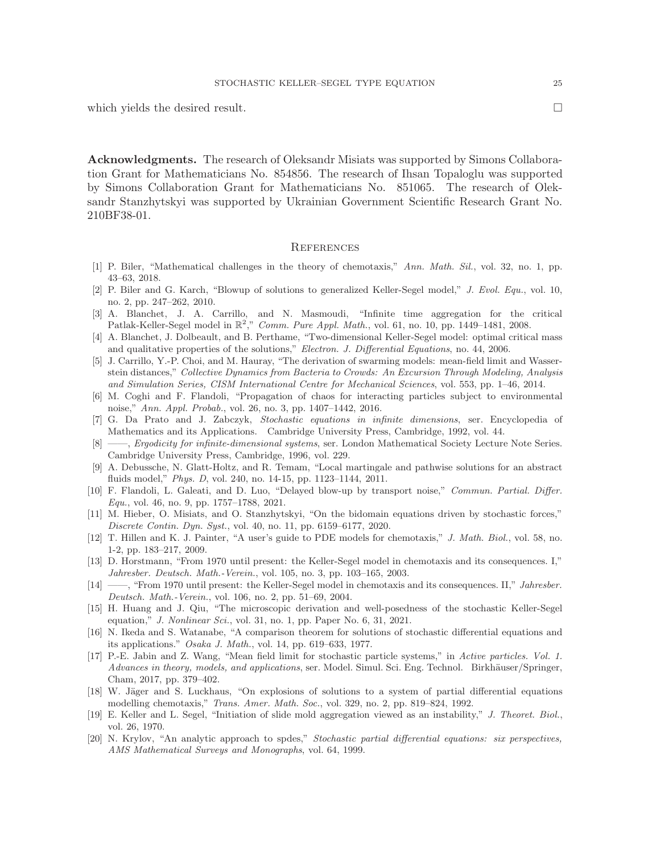which yields the desired result.  $\Box$ 

Acknowledgments. The research of Oleksandr Misiats was supported by Simons Collaboration Grant for Mathematicians No. 854856. The research of Ihsan Topaloglu was supported by Simons Collaboration Grant for Mathematicians No. 851065. The research of Oleksandr Stanzhytskyi was supported by Ukrainian Government Scientific Research Grant No. 210BF38-01.

#### **REFERENCES**

- <span id="page-24-1"></span>[1] P. Biler, "Mathematical challenges in the theory of chemotaxis," Ann. Math. Sil., vol. 32, no. 1, pp. 43–63, 2018.
- <span id="page-24-13"></span>[2] P. Biler and G. Karch, "Blowup of solutions to generalized Keller-Segel model," J. Evol. Equ., vol. 10, no. 2, pp. 247–262, 2010.
- <span id="page-24-2"></span>[3] A. Blanchet, J. A. Carrillo, and N. Masmoudi, "Infinite time aggregation for the critical Patlak-Keller-Segel model in  $\mathbb{R}^2$ ," Comm. Pure Appl. Math., vol. 61, no. 10, pp. 1449–1481, 2008.
- <span id="page-24-3"></span>[4] A. Blanchet, J. Dolbeault, and B. Perthame, "Two-dimensional Keller-Segel model: optimal critical mass and qualitative properties of the solutions," Electron. J. Differential Equations, no. 44, 2006.
- <span id="page-24-8"></span>[5] J. Carrillo, Y.-P. Choi, and M. Hauray, "The derivation of swarming models: mean-field limit and Wasserstein distances," Collective Dynamics from Bacteria to Crowds: An Excursion Through Modeling, Analysis and Simulation Series, CISM International Centre for Mechanical Sciences, vol. 553, pp. 1–46, 2014.
- <span id="page-24-10"></span>[6] M. Coghi and F. Flandoli, "Propagation of chaos for interacting particles subject to environmental noise," Ann. Appl. Probab., vol. 26, no. 3, pp. 1407–1442, 2016.
- <span id="page-24-14"></span>[7] G. Da Prato and J. Zabczyk, Stochastic equations in infinite dimensions, ser. Encyclopedia of Mathematics and its Applications. Cambridge University Press, Cambridge, 1992, vol. 44.
- <span id="page-24-15"></span>[8] ——, *Ergodicity for infinite-dimensional systems*, ser. London Mathematical Society Lecture Note Series. Cambridge University Press, Cambridge, 1996, vol. 229.
- <span id="page-24-17"></span>[9] A. Debussche, N. Glatt-Holtz, and R. Temam, "Local martingale and pathwise solutions for an abstract fluids model," Phys. D, vol. 240, no. 14-15, pp. 1123–1144, 2011.
- <span id="page-24-11"></span>[10] F. Flandoli, L. Galeati, and D. Luo, "Delayed blow-up by transport noise," Commun. Partial. Differ. Equ., vol. 46, no. 9, pp. 1757–1788, 2021.
- <span id="page-24-16"></span>[11] M. Hieber, O. Misiats, and O. Stanzhytskyi, "On the bidomain equations driven by stochastic forces," Discrete Contin. Dyn. Syst., vol. 40, no. 11, pp. 6159–6177, 2020.
- <span id="page-24-4"></span>[12] T. Hillen and K. J. Painter, "A user's guide to PDE models for chemotaxis," J. Math. Biol., vol. 58, no. 1-2, pp. 183–217, 2009.
- <span id="page-24-6"></span>[13] D. Horstmann, "From 1970 until present: the Keller-Segel model in chemotaxis and its consequences. I," Jahresber. Deutsch. Math.-Verein., vol. 105, no. 3, pp. 103–165, 2003.
- <span id="page-24-7"></span>[14] ——, "From 1970 until present: the Keller-Segel model in chemotaxis and its consequences. II," Jahresber. Deutsch. Math.-Verein., vol. 106, no. 2, pp. 51–69, 2004.
- <span id="page-24-12"></span>[15] H. Huang and J. Qiu, "The microscopic derivation and well-posedness of the stochastic Keller-Segel equation," J. Nonlinear Sci., vol. 31, no. 1, pp. Paper No. 6, 31, 2021.
- <span id="page-24-19"></span>[16] N. Ikeda and S. Watanabe, "A comparison theorem for solutions of stochastic differential equations and its applications." Osaka J. Math., vol. 14, pp. 619–633, 1977.
- <span id="page-24-9"></span>[17] P.-E. Jabin and Z. Wang, "Mean field limit for stochastic particle systems," in Active particles. Vol. 1. Advances in theory, models, and applications, ser. Model. Simul. Sci. Eng. Technol. Birkhäuser/Springer, Cham, 2017, pp. 379–402.
- <span id="page-24-5"></span>[18] W. Jäger and S. Luckhaus, "On explosions of solutions to a system of partial differential equations modelling chemotaxis," Trans. Amer. Math. Soc., vol. 329, no. 2, pp. 819–824, 1992.
- <span id="page-24-0"></span>[19] E. Keller and L. Segel, "Initiation of slide mold aggregation viewed as an instability," J. Theoret. Biol., vol. 26, 1970.
- <span id="page-24-18"></span>[20] N. Krylov, "An analytic approach to spdes," Stochastic partial differential equations: six perspectives, AMS Mathematical Surveys and Monographs, vol. 64, 1999.